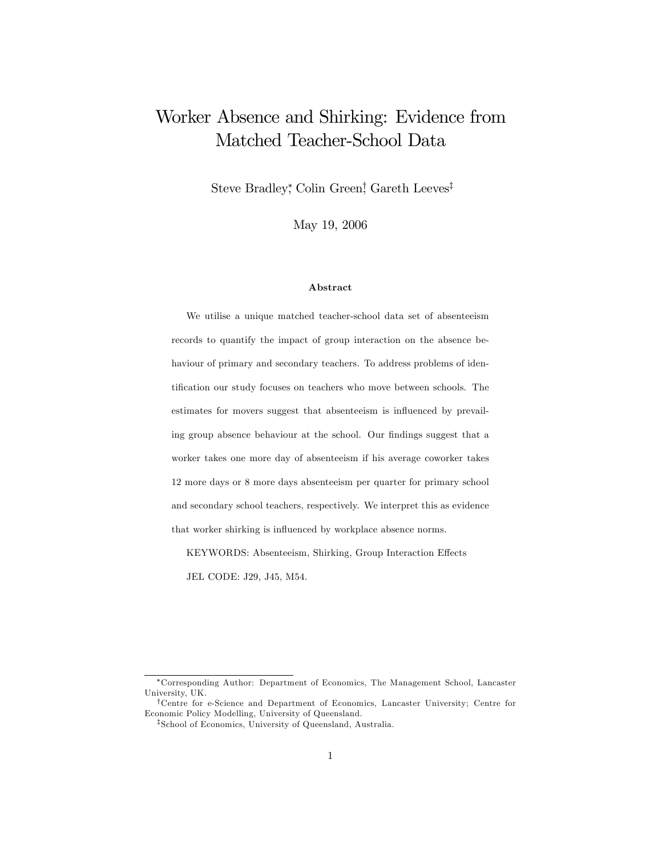# Worker Absence and Shirking: Evidence from Matched Teacher-School Data

Steve Bradley, Colin Green, Gareth Leeves<sup>†</sup>

May 19, 2006

#### Abstract

We utilise a unique matched teacher-school data set of absenteeism records to quantify the impact of group interaction on the absence behaviour of primary and secondary teachers. To address problems of identification our study focuses on teachers who move between schools. The estimates for movers suggest that absenteeism is influenced by prevailing group absence behaviour at the school. Our findings suggest that a worker takes one more day of absenteeism if his average coworker takes 12 more days or 8 more days absenteeism per quarter for primary school and secondary school teachers, respectively. We interpret this as evidence that worker shirking is influenced by workplace absence norms.

KEYWORDS: Absenteeism, Shirking, Group Interaction Effects

JEL CODE: J29, J45, M54.

Corresponding Author: Department of Economics, The Management School, Lancaster University, UK.

<sup>&</sup>lt;sup>†</sup>Centre for e-Science and Department of Economics, Lancaster University; Centre for Economic Policy Modelling, University of Queensland.

<sup>&</sup>lt;sup>‡</sup>School of Economics, University of Queensland, Australia.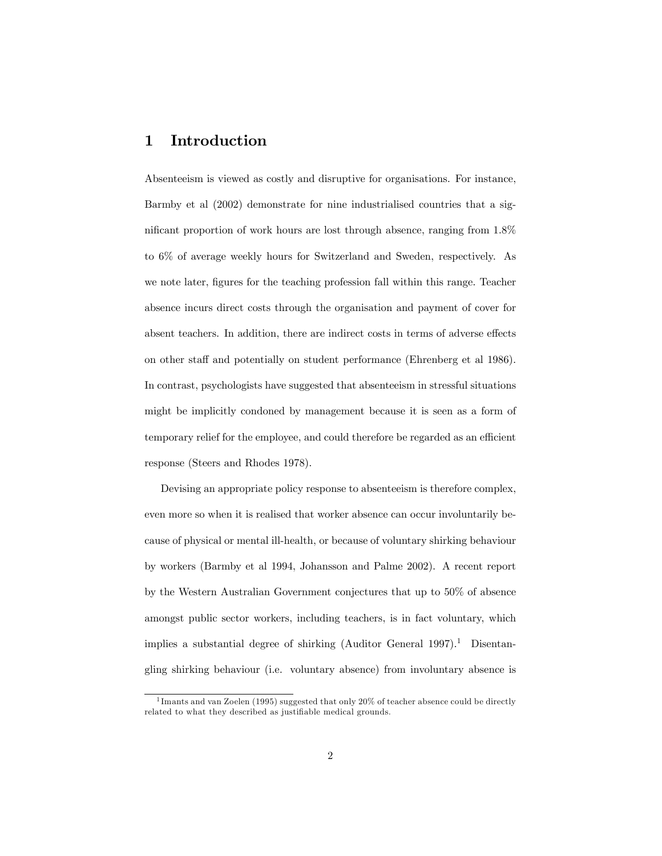## 1 Introduction

Absenteeism is viewed as costly and disruptive for organisations. For instance, Barmby et al (2002) demonstrate for nine industrialised countries that a significant proportion of work hours are lost through absence, ranging from  $1.8\%$ to 6% of average weekly hours for Switzerland and Sweden, respectively. As we note later, figures for the teaching profession fall within this range. Teacher absence incurs direct costs through the organisation and payment of cover for absent teachers. In addition, there are indirect costs in terms of adverse effects on other staff and potentially on student performance (Ehrenberg et al 1986). In contrast, psychologists have suggested that absenteeism in stressful situations might be implicitly condoned by management because it is seen as a form of temporary relief for the employee, and could therefore be regarded as an efficient response (Steers and Rhodes 1978).

Devising an appropriate policy response to absenteeism is therefore complex, even more so when it is realised that worker absence can occur involuntarily because of physical or mental ill-health, or because of voluntary shirking behaviour by workers (Barmby et al 1994, Johansson and Palme 2002). A recent report by the Western Australian Government conjectures that up to 50% of absence amongst public sector workers, including teachers, is in fact voluntary, which implies a substantial degree of shirking  $(Auditor)$  General 1997).<sup>1</sup> Disentangling shirking behaviour (i.e. voluntary absence) from involuntary absence is

<sup>&</sup>lt;sup>1</sup> Imants and van Zoelen (1995) suggested that only 20% of teacher absence could be directly related to what they described as justifiable medical grounds.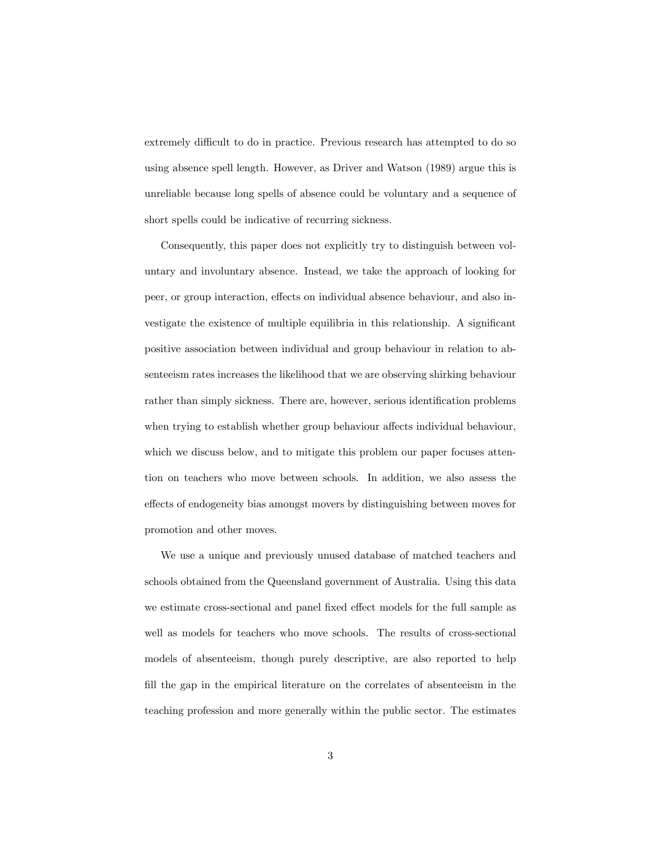extremely difficult to do in practice. Previous research has attempted to do so using absence spell length. However, as Driver and Watson (1989) argue this is unreliable because long spells of absence could be voluntary and a sequence of short spells could be indicative of recurring sickness.

Consequently, this paper does not explicitly try to distinguish between voluntary and involuntary absence. Instead, we take the approach of looking for peer, or group interaction, effects on individual absence behaviour, and also investigate the existence of multiple equilibria in this relationship. A significant positive association between individual and group behaviour in relation to absenteeism rates increases the likelihood that we are observing shirking behaviour rather than simply sickness. There are, however, serious identification problems when trying to establish whether group behaviour affects individual behaviour, which we discuss below, and to mitigate this problem our paper focuses attention on teachers who move between schools. In addition, we also assess the effects of endogeneity bias amongst movers by distinguishing between moves for promotion and other moves.

We use a unique and previously unused database of matched teachers and schools obtained from the Queensland government of Australia. Using this data we estimate cross-sectional and panel fixed effect models for the full sample as well as models for teachers who move schools. The results of cross-sectional models of absenteeism, though purely descriptive, are also reported to help fill the gap in the empirical literature on the correlates of absenteeism in the teaching profession and more generally within the public sector. The estimates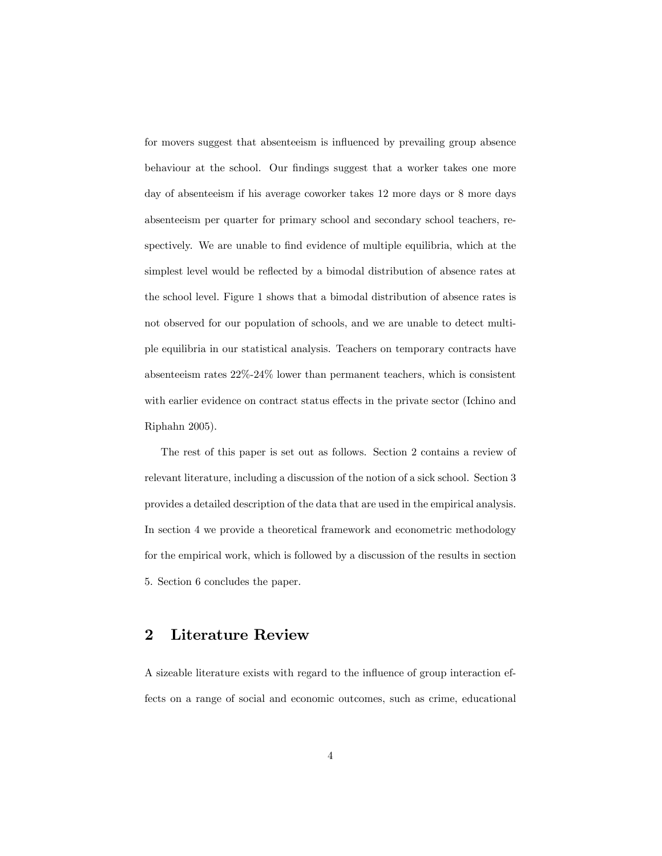for movers suggest that absenteeism is influenced by prevailing group absence behaviour at the school. Our findings suggest that a worker takes one more day of absenteeism if his average coworker takes 12 more days or 8 more days absenteeism per quarter for primary school and secondary school teachers, respectively. We are unable to find evidence of multiple equilibria, which at the simplest level would be reflected by a bimodal distribution of absence rates at the school level. Figure 1 shows that a bimodal distribution of absence rates is not observed for our population of schools, and we are unable to detect multiple equilibria in our statistical analysis. Teachers on temporary contracts have absenteeism rates 22%-24% lower than permanent teachers, which is consistent with earlier evidence on contract status effects in the private sector (Ichino and Riphahn 2005).

The rest of this paper is set out as follows. Section 2 contains a review of relevant literature, including a discussion of the notion of a sick school. Section 3 provides a detailed description of the data that are used in the empirical analysis. In section 4 we provide a theoretical framework and econometric methodology for the empirical work, which is followed by a discussion of the results in section 5. Section 6 concludes the paper.

## 2 Literature Review

A sizeable literature exists with regard to the influence of group interaction effects on a range of social and economic outcomes, such as crime, educational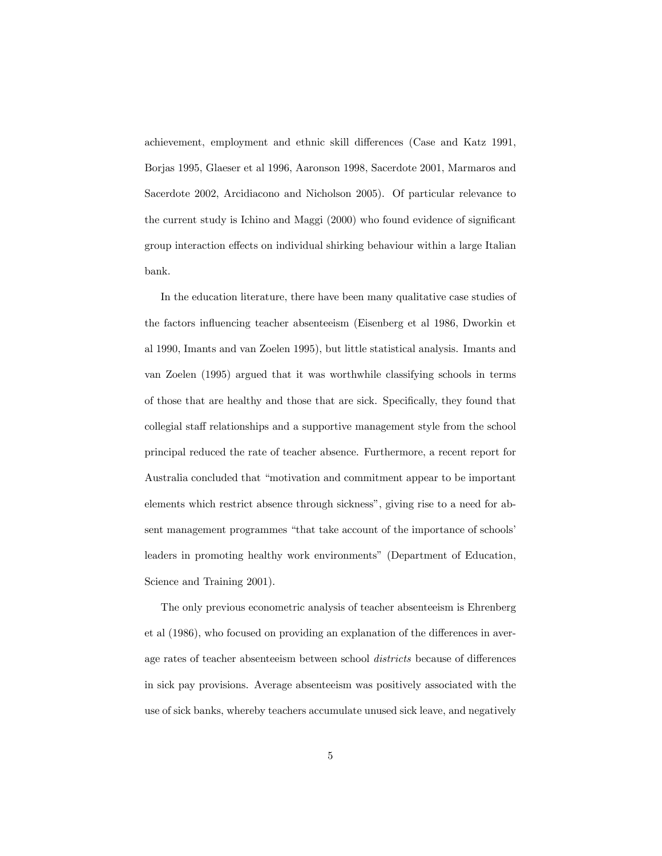achievement, employment and ethnic skill differences (Case and Katz 1991, Borjas 1995, Glaeser et al 1996, Aaronson 1998, Sacerdote 2001, Marmaros and Sacerdote 2002, Arcidiacono and Nicholson 2005). Of particular relevance to the current study is Ichino and Maggi  $(2000)$  who found evidence of significant group interaction effects on individual shirking behaviour within a large Italian bank.

In the education literature, there have been many qualitative case studies of the factors ináuencing teacher absenteeism (Eisenberg et al 1986, Dworkin et al 1990, Imants and van Zoelen 1995), but little statistical analysis. Imants and van Zoelen (1995) argued that it was worthwhile classifying schools in terms of those that are healthy and those that are sick. Specifically, they found that collegial staff relationships and a supportive management style from the school principal reduced the rate of teacher absence. Furthermore, a recent report for Australia concluded that "motivation and commitment appear to be important elements which restrict absence through sickness", giving rise to a need for absent management programmes "that take account of the importance of schools' leaders in promoting healthy work environments" (Department of Education, Science and Training 2001).

The only previous econometric analysis of teacher absenteeism is Ehrenberg et al  $(1986)$ , who focused on providing an explanation of the differences in average rates of teacher absenteeism between school *districts* because of differences in sick pay provisions. Average absenteeism was positively associated with the use of sick banks, whereby teachers accumulate unused sick leave, and negatively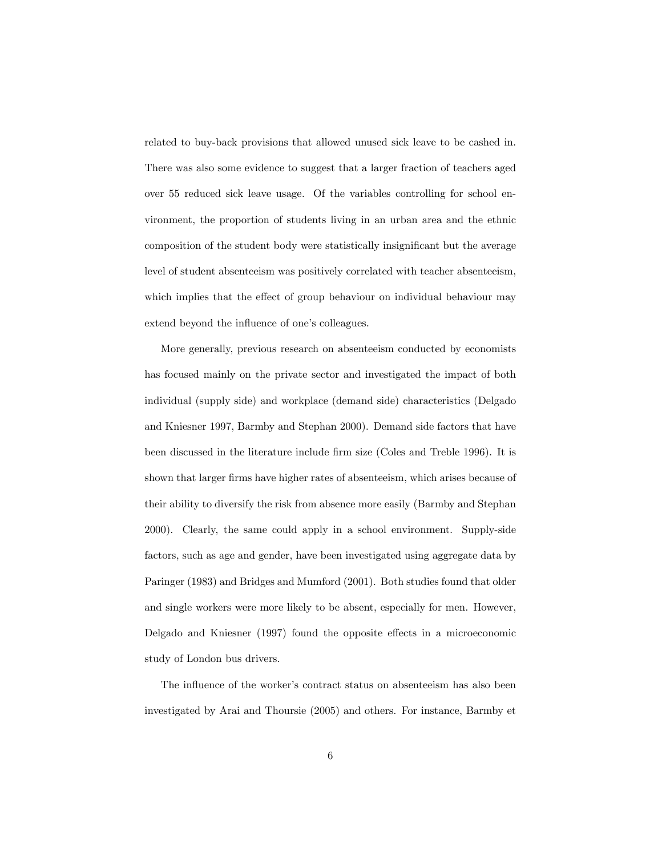related to buy-back provisions that allowed unused sick leave to be cashed in. There was also some evidence to suggest that a larger fraction of teachers aged over 55 reduced sick leave usage. Of the variables controlling for school environment, the proportion of students living in an urban area and the ethnic composition of the student body were statistically insignificant but the average level of student absenteeism was positively correlated with teacher absenteeism, which implies that the effect of group behaviour on individual behaviour may extend beyond the influence of one's colleagues.

More generally, previous research on absenteeism conducted by economists has focused mainly on the private sector and investigated the impact of both individual (supply side) and workplace (demand side) characteristics (Delgado and Kniesner 1997, Barmby and Stephan 2000). Demand side factors that have been discussed in the literature include firm size (Coles and Treble 1996). It is shown that larger firms have higher rates of absenteeism, which arises because of their ability to diversify the risk from absence more easily (Barmby and Stephan 2000). Clearly, the same could apply in a school environment. Supply-side factors, such as age and gender, have been investigated using aggregate data by Paringer (1983) and Bridges and Mumford (2001). Both studies found that older and single workers were more likely to be absent, especially for men. However, Delgado and Kniesner  $(1997)$  found the opposite effects in a microeconomic study of London bus drivers.

The influence of the worker's contract status on absenteeism has also been investigated by Arai and Thoursie (2005) and others. For instance, Barmby et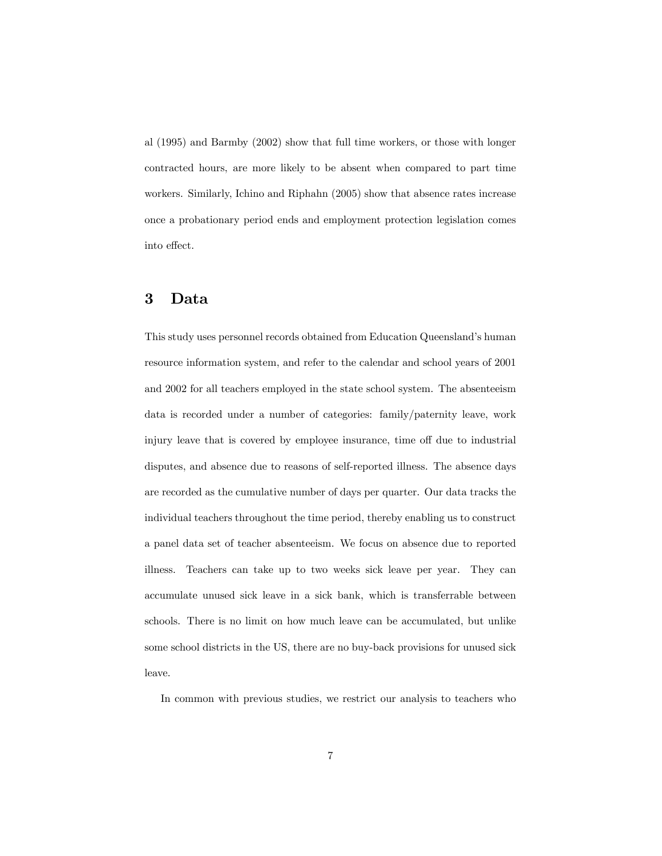al (1995) and Barmby (2002) show that full time workers, or those with longer contracted hours, are more likely to be absent when compared to part time workers. Similarly, Ichino and Riphahn (2005) show that absence rates increase once a probationary period ends and employment protection legislation comes into effect.

## 3 Data

This study uses personnel records obtained from Education Queenslandís human resource information system, and refer to the calendar and school years of 2001 and 2002 for all teachers employed in the state school system. The absenteeism data is recorded under a number of categories: family/paternity leave, work injury leave that is covered by employee insurance, time off due to industrial disputes, and absence due to reasons of self-reported illness. The absence days are recorded as the cumulative number of days per quarter. Our data tracks the individual teachers throughout the time period, thereby enabling us to construct a panel data set of teacher absenteeism. We focus on absence due to reported illness. Teachers can take up to two weeks sick leave per year. They can accumulate unused sick leave in a sick bank, which is transferrable between schools. There is no limit on how much leave can be accumulated, but unlike some school districts in the US, there are no buy-back provisions for unused sick leave.

In common with previous studies, we restrict our analysis to teachers who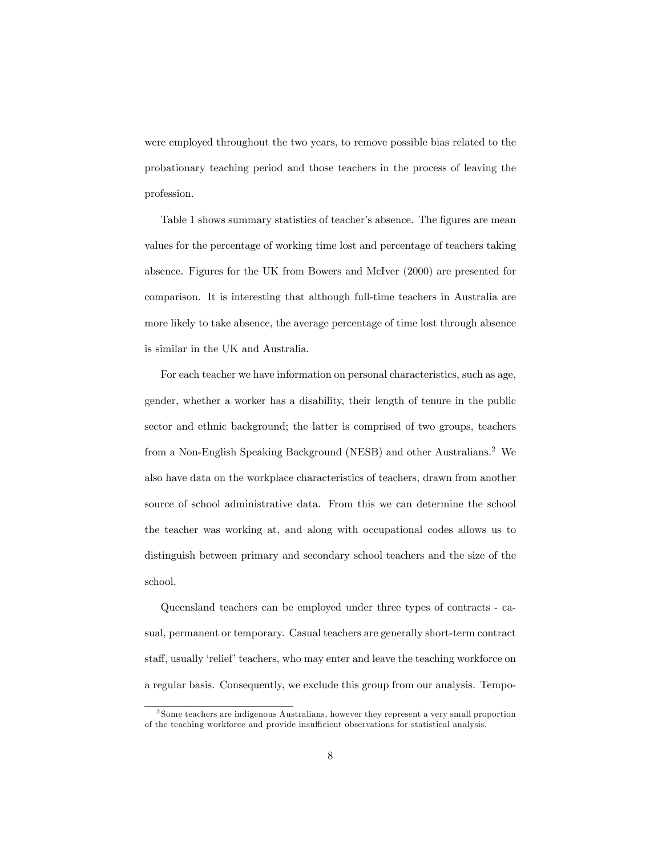were employed throughout the two years, to remove possible bias related to the probationary teaching period and those teachers in the process of leaving the profession.

Table 1 shows summary statistics of teacher's absence. The figures are mean values for the percentage of working time lost and percentage of teachers taking absence. Figures for the UK from Bowers and McIver (2000) are presented for comparison. It is interesting that although full-time teachers in Australia are more likely to take absence, the average percentage of time lost through absence is similar in the UK and Australia.

For each teacher we have information on personal characteristics, such as age, gender, whether a worker has a disability, their length of tenure in the public sector and ethnic background; the latter is comprised of two groups, teachers from a Non-English Speaking Background (NESB) and other Australians.<sup>2</sup> We also have data on the workplace characteristics of teachers, drawn from another source of school administrative data. From this we can determine the school the teacher was working at, and along with occupational codes allows us to distinguish between primary and secondary school teachers and the size of the school.

Queensland teachers can be employed under three types of contracts - casual, permanent or temporary. Casual teachers are generally short-term contract staff, usually 'relief' teachers, who may enter and leave the teaching workforce on a regular basis. Consequently, we exclude this group from our analysis. Tempo-

<sup>2</sup> Some teachers are indigenous Australians, however they represent a very small proportion of the teaching workforce and provide insu¢ cient observations for statistical analysis.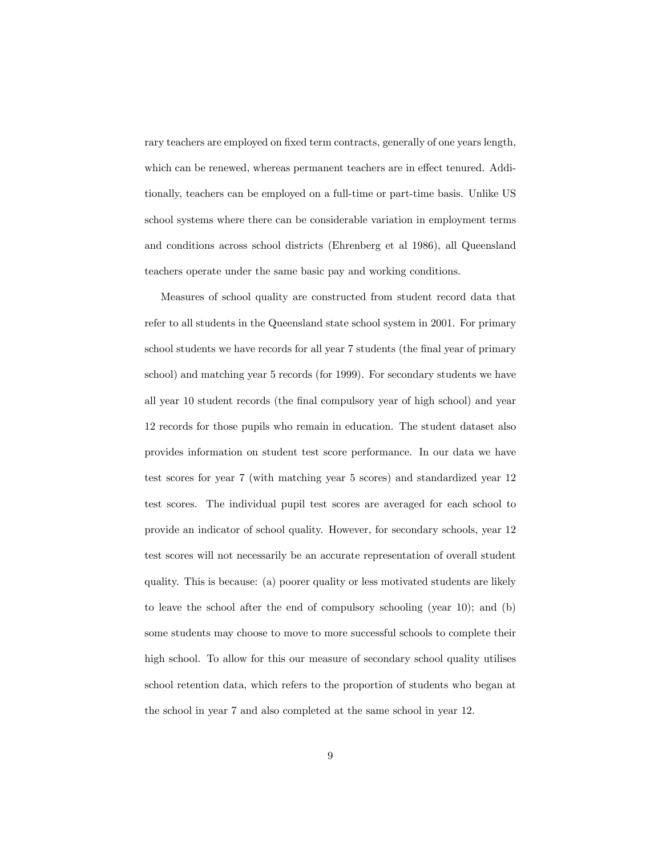rary teachers are employed on fixed term contracts, generally of one years length, which can be renewed, whereas permanent teachers are in effect tenured. Additionally, teachers can be employed on a full-time or part-time basis. Unlike US school systems where there can be considerable variation in employment terms and conditions across school districts (Ehrenberg et al 1986), all Queensland teachers operate under the same basic pay and working conditions.

Measures of school quality are constructed from student record data that refer to all students in the Queensland state school system in 2001. For primary school students we have records for all year 7 students (the final year of primary school) and matching year 5 records (for 1999). For secondary students we have all year 10 student records (the final compulsory year of high school) and year 12 records for those pupils who remain in education. The student dataset also provides information on student test score performance. In our data we have test scores for year 7 (with matching year 5 scores) and standardized year 12 test scores. The individual pupil test scores are averaged for each school to provide an indicator of school quality. However, for secondary schools, year 12 test scores will not necessarily be an accurate representation of overall student quality. This is because: (a) poorer quality or less motivated students are likely to leave the school after the end of compulsory schooling (year 10); and (b) some students may choose to move to more successful schools to complete their high school. To allow for this our measure of secondary school quality utilises school retention data, which refers to the proportion of students who began at the school in year 7 and also completed at the same school in year 12.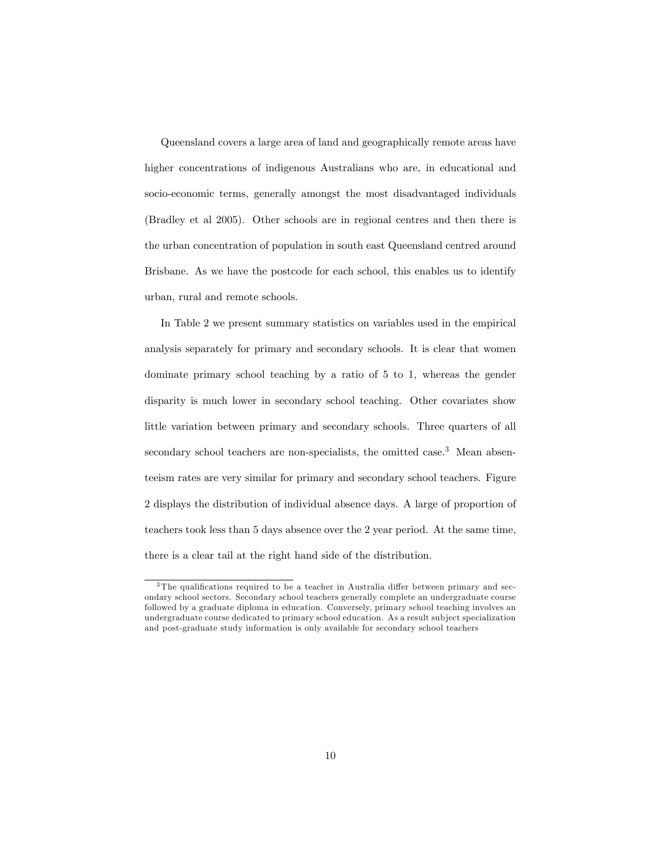Queensland covers a large area of land and geographically remote areas have higher concentrations of indigenous Australians who are, in educational and socio-economic terms, generally amongst the most disadvantaged individuals (Bradley et al 2005). Other schools are in regional centres and then there is the urban concentration of population in south east Queensland centred around Brisbane. As we have the postcode for each school, this enables us to identify urban, rural and remote schools.

In Table 2 we present summary statistics on variables used in the empirical analysis separately for primary and secondary schools. It is clear that women dominate primary school teaching by a ratio of 5 to 1, whereas the gender disparity is much lower in secondary school teaching. Other covariates show little variation between primary and secondary schools. Three quarters of all secondary school teachers are non-specialists, the omitted case.<sup>3</sup> Mean absenteeism rates are very similar for primary and secondary school teachers. Figure 2 displays the distribution of individual absence days. A large of proportion of teachers took less than 5 days absence over the 2 year period. At the same time, there is a clear tail at the right hand side of the distribution.

 $3$ The qualifications required to be a teacher in Australia differ between primary and secondary school sectors. Secondary school teachers generally complete an undergraduate course followed by a graduate diploma in education. Conversely, primary school teaching involves an undergraduate course dedicated to primary school education. As a result sub ject specialization and post-graduate study information is only available for secondary school teachers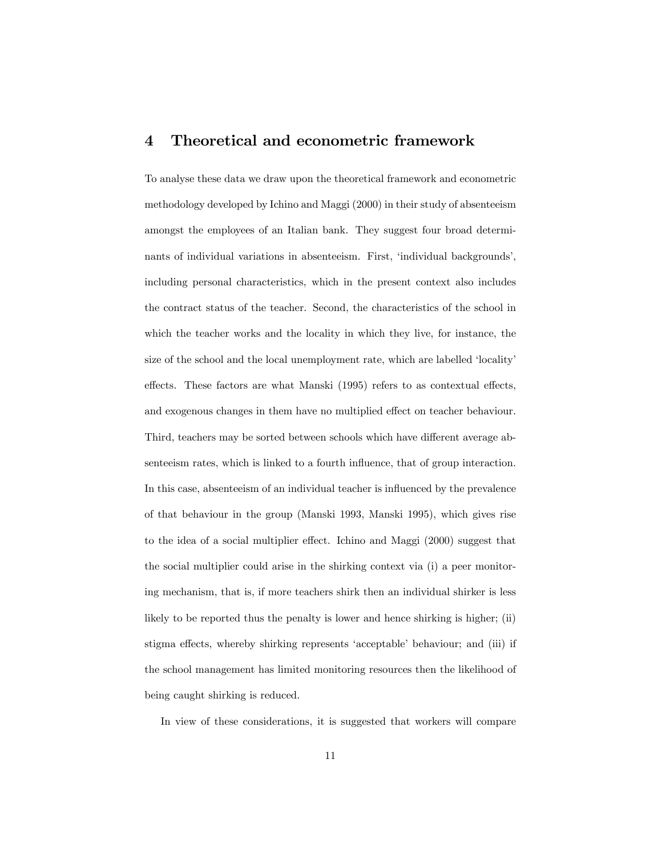## 4 Theoretical and econometric framework

To analyse these data we draw upon the theoretical framework and econometric methodology developed by Ichino and Maggi (2000) in their study of absenteeism amongst the employees of an Italian bank. They suggest four broad determinants of individual variations in absenteeism. First, 'individual backgrounds', including personal characteristics, which in the present context also includes the contract status of the teacher. Second, the characteristics of the school in which the teacher works and the locality in which they live, for instance, the size of the school and the local unemployment rate, which are labelled 'locality' effects. These factors are what Manski  $(1995)$  refers to as contextual effects, and exogenous changes in them have no multiplied effect on teacher behaviour. Third, teachers may be sorted between schools which have different average absenteeism rates, which is linked to a fourth influence, that of group interaction. In this case, absenteeism of an individual teacher is influenced by the prevalence of that behaviour in the group (Manski 1993, Manski 1995), which gives rise to the idea of a social multiplier effect. Ichino and Maggi (2000) suggest that the social multiplier could arise in the shirking context via (i) a peer monitoring mechanism, that is, if more teachers shirk then an individual shirker is less likely to be reported thus the penalty is lower and hence shirking is higher; (ii) stigma effects, whereby shirking represents 'acceptable' behaviour; and (iii) if the school management has limited monitoring resources then the likelihood of being caught shirking is reduced.

In view of these considerations, it is suggested that workers will compare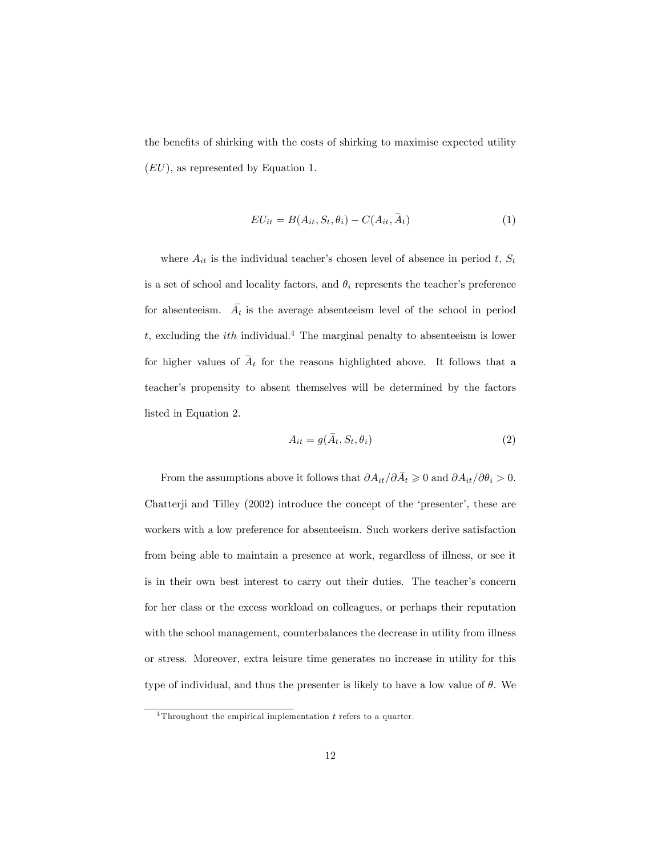the benefits of shirking with the costs of shirking to maximise expected utility (EU), as represented by Equation 1.

$$
EU_{it} = B(A_{it}, S_t, \theta_i) - C(A_{it}, \bar{A}_t)
$$
\n<sup>(1)</sup>

where  $A_{it}$  is the individual teacher's chosen level of absence in period t,  $S_t$ is a set of school and locality factors, and  $\theta_i$  represents the teacher's preference for absenteeism.  $\overline{A}_t$  is the average absenteeism level of the school in period t, excluding the *ith* individual.<sup>4</sup> The marginal penalty to absenteeism is lower for higher values of  $A_t$  for the reasons highlighted above. It follows that a  $\overline{a}$ teacherís propensity to absent themselves will be determined by the factors listed in Equation 2.

$$
A_{it} = g(\bar{A}_t, S_t, \theta_i) \tag{2}
$$

From the assumptions above it follows that  $\partial A_{it}/\partial \bar{A}_t \geqslant 0$  and  $\partial A_{it}/\partial \theta_i > 0$ . Chatterji and Tilley  $(2002)$  introduce the concept of the 'presenter', these are workers with a low preference for absenteeism. Such workers derive satisfaction from being able to maintain a presence at work, regardless of illness, or see it is in their own best interest to carry out their duties. The teacher's concern for her class or the excess workload on colleagues, or perhaps their reputation with the school management, counterbalances the decrease in utility from illness or stress. Moreover, extra leisure time generates no increase in utility for this type of individual, and thus the presenter is likely to have a low value of  $\theta$ . We

<sup>&</sup>lt;sup>4</sup>Throughout the empirical implementation  $t$  refers to a quarter.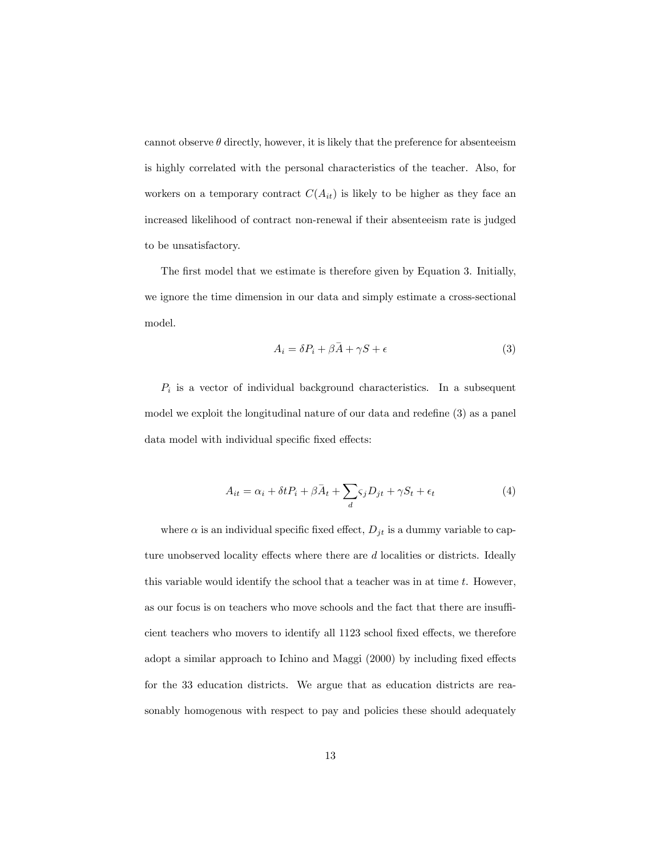cannot observe  $\theta$  directly, however, it is likely that the preference for absenteeism is highly correlated with the personal characteristics of the teacher. Also, for workers on a temporary contract  $C(A_{it})$  is likely to be higher as they face an increased likelihood of contract non-renewal if their absenteeism rate is judged to be unsatisfactory.

The first model that we estimate is therefore given by Equation 3. Initially, we ignore the time dimension in our data and simply estimate a cross-sectional model.

$$
A_i = \delta P_i + \beta \bar{A} + \gamma S + \epsilon \tag{3}
$$

 $P_i$  is a vector of individual background characteristics. In a subsequent model we exploit the longitudinal nature of our data and redefine  $(3)$  as a panel data model with individual specific fixed effects:

$$
A_{it} = \alpha_i + \delta t P_i + \beta \bar{A}_t + \sum_d \varsigma_j D_{jt} + \gamma S_t + \epsilon_t \tag{4}
$$

where  $\alpha$  is an individual specific fixed effect,  $D_{jt}$  is a dummy variable to capture unobserved locality effects where there are  $d$  localities or districts. Ideally this variable would identify the school that a teacher was in at time  $t$ . However, as our focus is on teachers who move schools and the fact that there are insufficient teachers who movers to identify all 1123 school fixed effects, we therefore adopt a similar approach to Ichino and Maggi (2000) by including fixed effects for the 33 education districts. We argue that as education districts are reasonably homogenous with respect to pay and policies these should adequately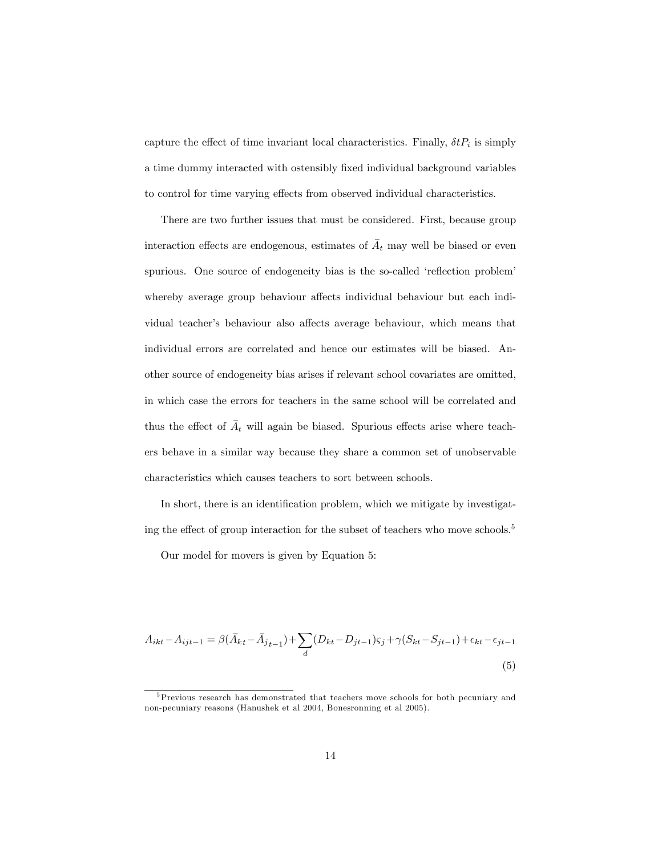capture the effect of time invariant local characteristics. Finally,  $\delta t P_i$  is simply a time dummy interacted with ostensibly Öxed individual background variables to control for time varying effects from observed individual characteristics.

There are two further issues that must be considered. First, because group interaction effects are endogenous, estimates of  $\overline{A}_t$  may well be biased or even spurious. One source of endogeneity bias is the so-called 'reflection problem' whereby average group behaviour affects individual behaviour but each individual teacher's behaviour also affects average behaviour, which means that individual errors are correlated and hence our estimates will be biased. Another source of endogeneity bias arises if relevant school covariates are omitted, in which case the errors for teachers in the same school will be correlated and thus the effect of  $\overline{A}_t$  will again be biased. Spurious effects arise where teachers behave in a similar way because they share a common set of unobservable characteristics which causes teachers to sort between schools.

In short, there is an identification problem, which we mitigate by investigating the effect of group interaction for the subset of teachers who move schools.<sup>5</sup>

Our model for movers is given by Equation 5:

$$
A_{ikt} - A_{ijt-1} = \beta(\bar{A}_{kt} - \bar{A}_{jt-1}) + \sum_{d} (D_{kt} - D_{jt-1})\varsigma_j + \gamma(S_{kt} - S_{jt-1}) + \epsilon_{kt} - \epsilon_{jt-1}
$$
\n(5)

<sup>&</sup>lt;sup>5</sup>Previous research has demonstrated that teachers move schools for both pecuniary and non-pecuniary reasons (Hanushek et al 2004, Bonesronning et al 2005).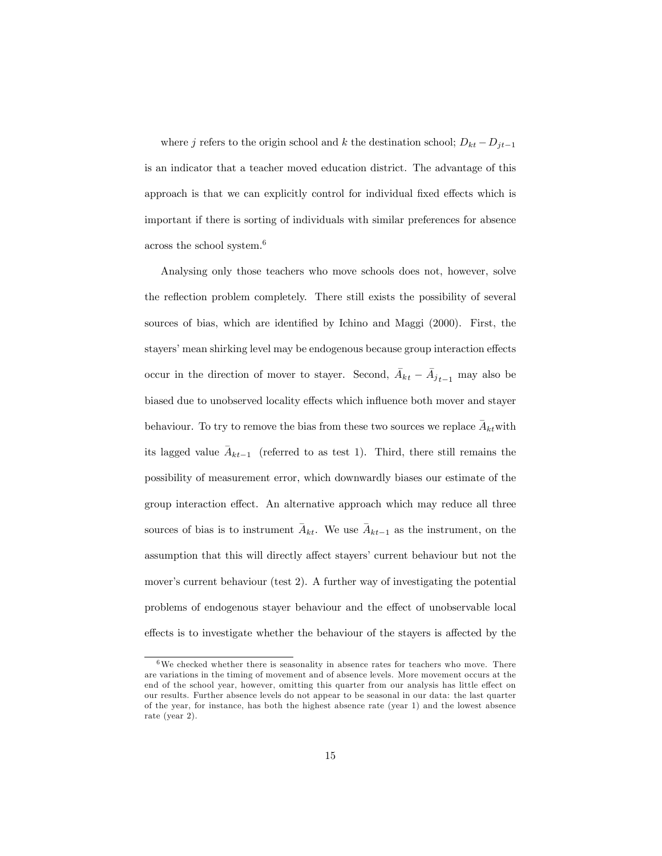where j refers to the origin school and k the destination school;  $D_{kt} - D_{jt-1}$ is an indicator that a teacher moved education district. The advantage of this approach is that we can explicitly control for individual fixed effects which is important if there is sorting of individuals with similar preferences for absence across the school system.<sup>6</sup>

Analysing only those teachers who move schools does not, however, solve the reflection problem completely. There still exists the possibility of several sources of bias, which are identified by Ichino and Maggi (2000). First, the stayers' mean shirking level may be endogenous because group interaction effects occur in the direction of mover to stayer. Second,  $\bar{A}_{kt} - \bar{A}_{jt-1}$  may also be biased due to unobserved locality effects which influence both mover and stayer behaviour. To try to remove the bias from these two sources we replace  $A_{kt}$  with  $\overline{a}$ its lagged value  $A_{kt-1}$  (referred to as test 1). Third, there still remains the  $\overline{a}$ possibility of measurement error, which downwardly biases our estimate of the group interaction effect. An alternative approach which may reduce all three sources of bias is to instrument  $A_{kt}$ . We use  $A_{kt-1}$  as the instrument, on the  $\overline{a}$  $\overline{a}$ assumption that this will directly affect stayers' current behaviour but not the mover's current behaviour (test  $2$ ). A further way of investigating the potential problems of endogenous stayer behaviour and the effect of unobservable local effects is to investigate whether the behaviour of the stayers is affected by the

 $6$ We checked whether there is seasonality in absence rates for teachers who move. There are variations in the timing of movement and of absence levels. More movement occurs at the end of the school year, however, omitting this quarter from our analysis has little effect on our results. Further absence levels do not appear to be seasonal in our data: the last quarter of the year, for instance, has both the highest absence rate (year 1) and the lowest absence rate (year 2).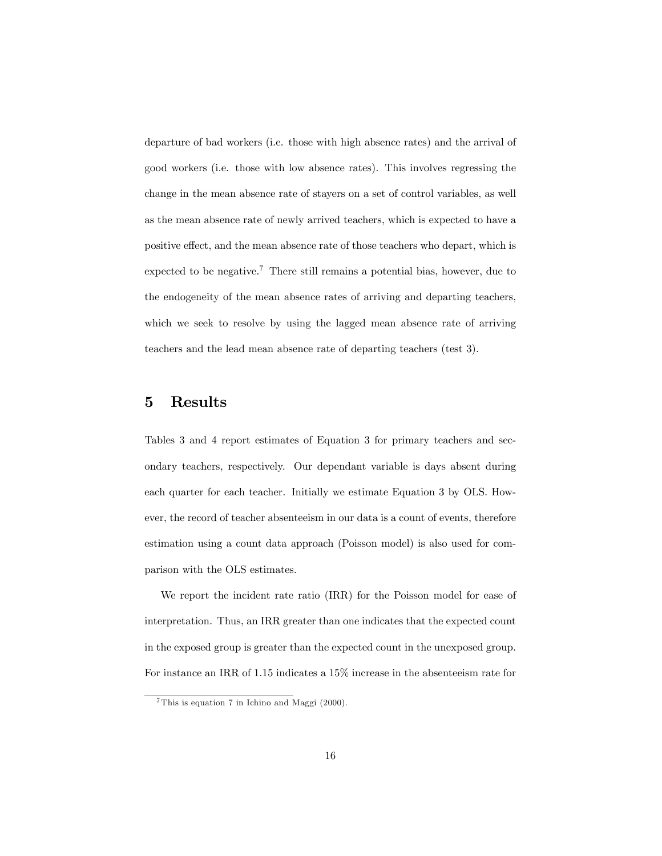departure of bad workers (i.e. those with high absence rates) and the arrival of good workers (i.e. those with low absence rates). This involves regressing the change in the mean absence rate of stayers on a set of control variables, as well as the mean absence rate of newly arrived teachers, which is expected to have a positive effect, and the mean absence rate of those teachers who depart, which is expected to be negative.<sup>7</sup> There still remains a potential bias, however, due to the endogeneity of the mean absence rates of arriving and departing teachers, which we seek to resolve by using the lagged mean absence rate of arriving teachers and the lead mean absence rate of departing teachers (test 3).

### 5 Results

Tables 3 and 4 report estimates of Equation 3 for primary teachers and secondary teachers, respectively. Our dependant variable is days absent during each quarter for each teacher. Initially we estimate Equation 3 by OLS. However, the record of teacher absenteeism in our data is a count of events, therefore estimation using a count data approach (Poisson model) is also used for comparison with the OLS estimates.

We report the incident rate ratio (IRR) for the Poisson model for ease of interpretation. Thus, an IRR greater than one indicates that the expected count in the exposed group is greater than the expected count in the unexposed group. For instance an IRR of 1.15 indicates a 15% increase in the absenteeism rate for

<sup>7</sup> This is equation 7 in Ichino and Maggi (2000).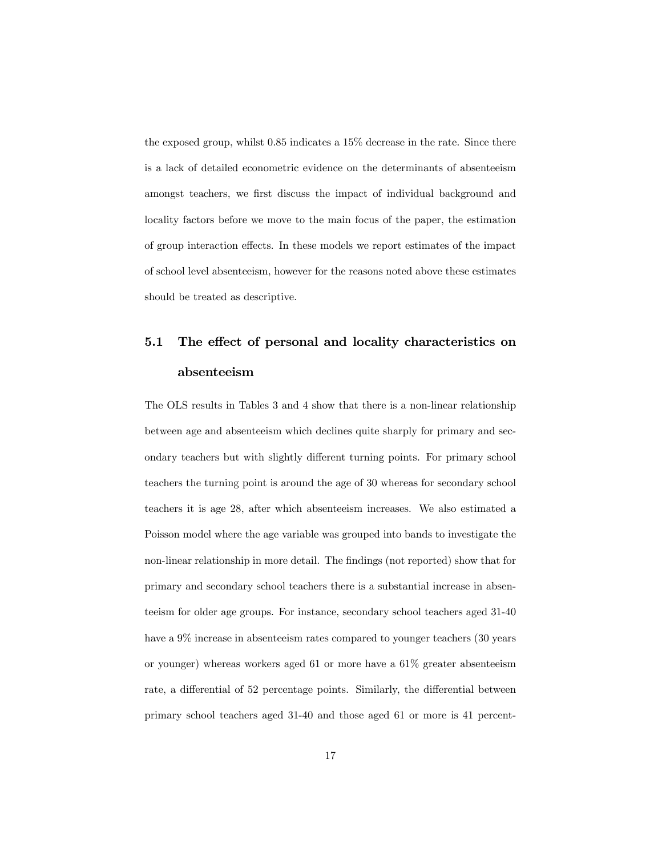the exposed group, whilst 0.85 indicates a 15% decrease in the rate. Since there is a lack of detailed econometric evidence on the determinants of absenteeism amongst teachers, we first discuss the impact of individual background and locality factors before we move to the main focus of the paper, the estimation of group interaction effects. In these models we report estimates of the impact of school level absenteeism, however for the reasons noted above these estimates should be treated as descriptive.

# 5.1 The effect of personal and locality characteristics on absenteeism

The OLS results in Tables 3 and 4 show that there is a non-linear relationship between age and absenteeism which declines quite sharply for primary and secondary teachers but with slightly different turning points. For primary school teachers the turning point is around the age of 30 whereas for secondary school teachers it is age 28, after which absenteeism increases. We also estimated a Poisson model where the age variable was grouped into bands to investigate the non-linear relationship in more detail. The findings (not reported) show that for primary and secondary school teachers there is a substantial increase in absenteeism for older age groups. For instance, secondary school teachers aged 31-40 have a  $9\%$  increase in absenteeism rates compared to younger teachers (30 years or younger) whereas workers aged 61 or more have a 61% greater absenteeism rate, a differential of 52 percentage points. Similarly, the differential between primary school teachers aged 31-40 and those aged 61 or more is 41 percent-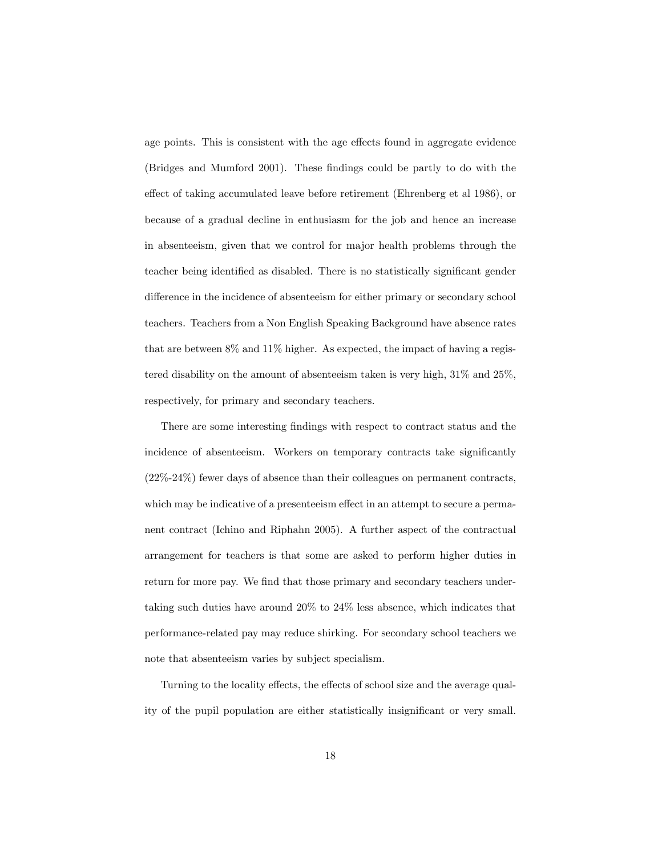age points. This is consistent with the age effects found in aggregate evidence (Bridges and Mumford 2001). These Öndings could be partly to do with the effect of taking accumulated leave before retirement (Ehrenberg et al 1986), or because of a gradual decline in enthusiasm for the job and hence an increase in absenteeism, given that we control for major health problems through the teacher being identified as disabled. There is no statistically significant gender difference in the incidence of absenteeism for either primary or secondary school teachers. Teachers from a Non English Speaking Background have absence rates that are between 8% and 11% higher. As expected, the impact of having a registered disability on the amount of absenteeism taken is very high, 31% and 25%, respectively, for primary and secondary teachers.

There are some interesting findings with respect to contract status and the incidence of absenteeism. Workers on temporary contracts take significantly (22%-24%) fewer days of absence than their colleagues on permanent contracts, which may be indicative of a presenteeism effect in an attempt to secure a permanent contract (Ichino and Riphahn 2005). A further aspect of the contractual arrangement for teachers is that some are asked to perform higher duties in return for more pay. We find that those primary and secondary teachers undertaking such duties have around 20% to 24% less absence, which indicates that performance-related pay may reduce shirking. For secondary school teachers we note that absenteeism varies by subject specialism.

Turning to the locality effects, the effects of school size and the average quality of the pupil population are either statistically insignificant or very small.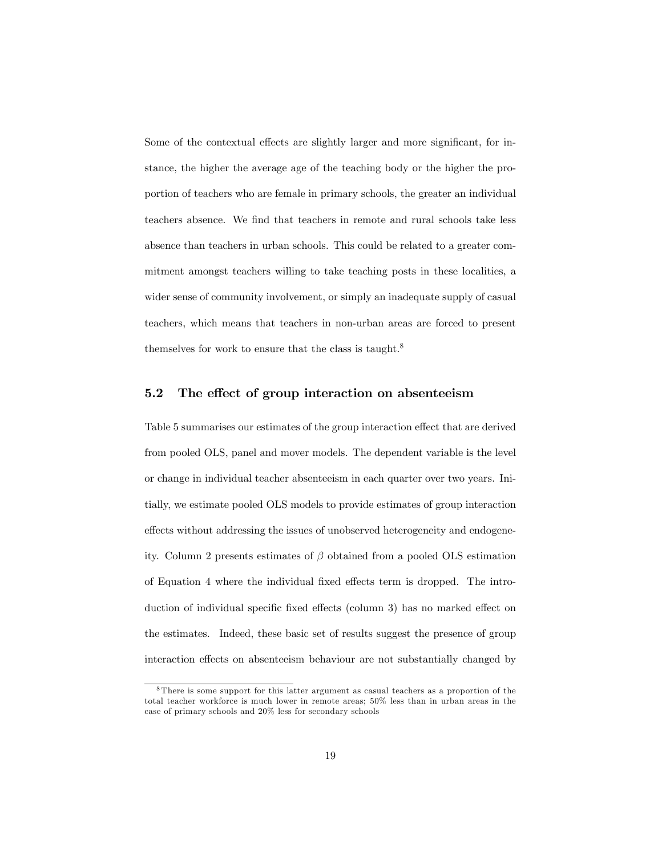Some of the contextual effects are slightly larger and more significant, for instance, the higher the average age of the teaching body or the higher the proportion of teachers who are female in primary schools, the greater an individual teachers absence. We find that teachers in remote and rural schools take less absence than teachers in urban schools. This could be related to a greater commitment amongst teachers willing to take teaching posts in these localities, a wider sense of community involvement, or simply an inadequate supply of casual teachers, which means that teachers in non-urban areas are forced to present themselves for work to ensure that the class is taught.<sup>8</sup>

### 5.2 The effect of group interaction on absenteeism

Table 5 summarises our estimates of the group interaction effect that are derived from pooled OLS, panel and mover models. The dependent variable is the level or change in individual teacher absenteeism in each quarter over two years. Initially, we estimate pooled OLS models to provide estimates of group interaction effects without addressing the issues of unobserved heterogeneity and endogeneity. Column 2 presents estimates of  $\beta$  obtained from a pooled OLS estimation of Equation 4 where the individual fixed effects term is dropped. The introduction of individual specific fixed effects (column 3) has no marked effect on the estimates. Indeed, these basic set of results suggest the presence of group interaction effects on absenteeism behaviour are not substantially changed by

<sup>8</sup> There is some support for this latter argument as casual teachers as a proportion of the total teacher workforce is much lower in remote areas; 50% less than in urban areas in the case of primary schools and 20% less for secondary schools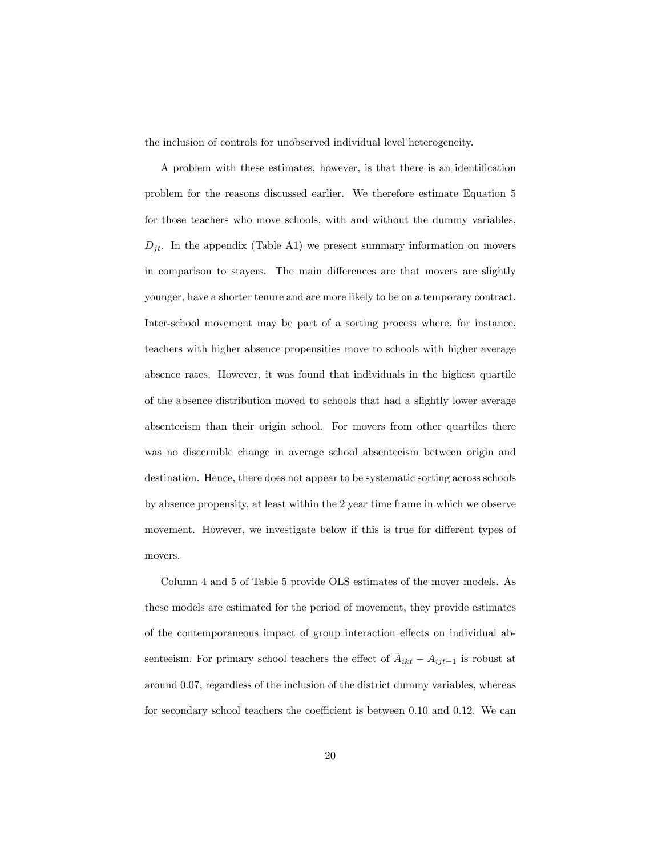the inclusion of controls for unobserved individual level heterogeneity.

A problem with these estimates, however, is that there is an identification problem for the reasons discussed earlier. We therefore estimate Equation 5 for those teachers who move schools, with and without the dummy variables,  $D_{jt}$ . In the appendix (Table A1) we present summary information on movers in comparison to stayers. The main differences are that movers are slightly younger, have a shorter tenure and are more likely to be on a temporary contract. Inter-school movement may be part of a sorting process where, for instance, teachers with higher absence propensities move to schools with higher average absence rates. However, it was found that individuals in the highest quartile of the absence distribution moved to schools that had a slightly lower average absenteeism than their origin school. For movers from other quartiles there was no discernible change in average school absenteeism between origin and destination. Hence, there does not appear to be systematic sorting across schools by absence propensity, at least within the 2 year time frame in which we observe movement. However, we investigate below if this is true for different types of movers.

Column 4 and 5 of Table 5 provide OLS estimates of the mover models. As these models are estimated for the period of movement, they provide estimates of the contemporaneous impact of group interaction effects on individual absenteeism. For primary school teachers the effect of  $\overline{A}_{ikt} - \overline{A}_{ijt-1}$  is robust at around 0.07, regardless of the inclusion of the district dummy variables, whereas for secondary school teachers the coefficient is between  $0.10$  and  $0.12$ . We can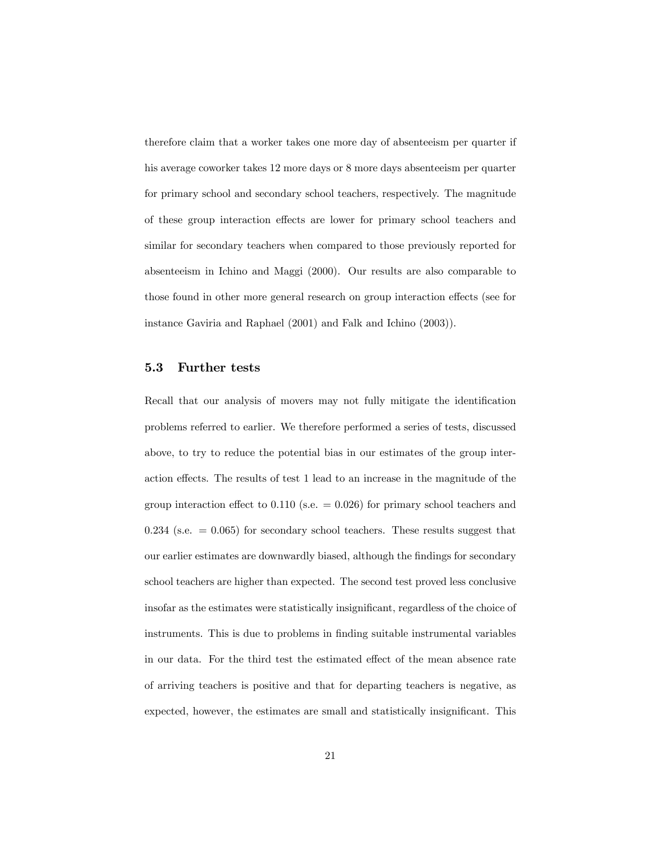therefore claim that a worker takes one more day of absenteeism per quarter if his average coworker takes 12 more days or 8 more days absenteeism per quarter for primary school and secondary school teachers, respectively. The magnitude of these group interaction effects are lower for primary school teachers and similar for secondary teachers when compared to those previously reported for absenteeism in Ichino and Maggi (2000). Our results are also comparable to those found in other more general research on group interaction effects (see for instance Gaviria and Raphael (2001) and Falk and Ichino (2003)).

### 5.3 Further tests

Recall that our analysis of movers may not fully mitigate the identification problems referred to earlier. We therefore performed a series of tests, discussed above, to try to reduce the potential bias in our estimates of the group interaction effects. The results of test 1 lead to an increase in the magnitude of the group interaction effect to  $0.110$  (s.e.  $= 0.026$ ) for primary school teachers and  $0.234$  (s.e.  $= 0.065$ ) for secondary school teachers. These results suggest that our earlier estimates are downwardly biased, although the Öndings for secondary school teachers are higher than expected. The second test proved less conclusive insofar as the estimates were statistically insignificant, regardless of the choice of instruments. This is due to problems in finding suitable instrumental variables in our data. For the third test the estimated effect of the mean absence rate of arriving teachers is positive and that for departing teachers is negative, as expected, however, the estimates are small and statistically insignificant. This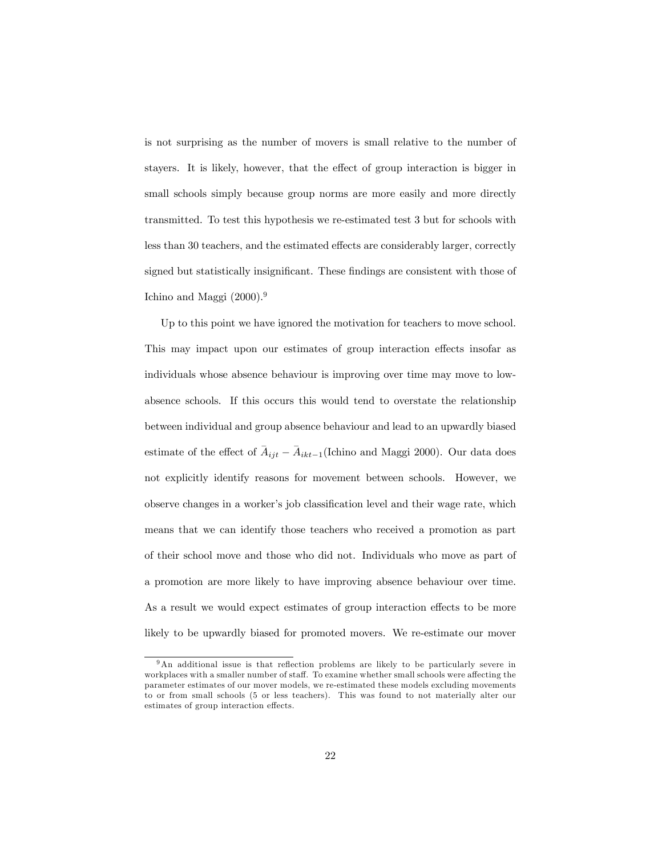is not surprising as the number of movers is small relative to the number of stayers. It is likely, however, that the effect of group interaction is bigger in small schools simply because group norms are more easily and more directly transmitted. To test this hypothesis we re-estimated test 3 but for schools with less than 30 teachers, and the estimated effects are considerably larger, correctly signed but statistically insignificant. These findings are consistent with those of Ichino and Maggi  $(2000).<sup>9</sup>$ 

Up to this point we have ignored the motivation for teachers to move school. This may impact upon our estimates of group interaction effects insofar as individuals whose absence behaviour is improving over time may move to lowabsence schools. If this occurs this would tend to overstate the relationship between individual and group absence behaviour and lead to an upwardly biased estimate of the effect of  $\overline{A}_{ijt} - \overline{A}_{ikt-1}$  (Ichino and Maggi 2000). Our data does not explicitly identify reasons for movement between schools. However, we observe changes in a worker's job classification level and their wage rate, which means that we can identify those teachers who received a promotion as part of their school move and those who did not. Individuals who move as part of a promotion are more likely to have improving absence behaviour over time. As a result we would expect estimates of group interaction effects to be more likely to be upwardly biased for promoted movers. We re-estimate our mover

 $9$ An additional issue is that reflection problems are likely to be particularly severe in workplaces with a smaller number of staff. To examine whether small schools were affecting the parameter estimates of our mover models, we re-estimated these models excluding movements to or from small schools (5 or less teachers). This was found to not materially alter our estimates of group interaction effects.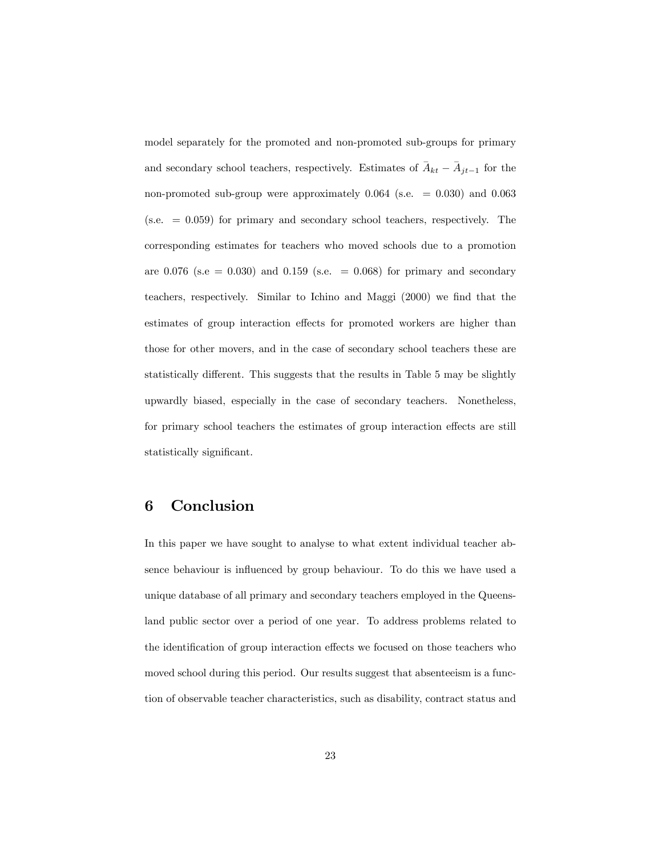model separately for the promoted and non-promoted sub-groups for primary and secondary school teachers, respectively. Estimates of  $\overline{A}_{kt} - \overline{A}_{jt-1}$  for the non-promoted sub-group were approximately  $0.064$  (s.e. = 0.030) and 0.063  $(s.e. = 0.059)$  for primary and secondary school teachers, respectively. The corresponding estimates for teachers who moved schools due to a promotion are 0.076 (s.e = 0.030) and 0.159 (s.e. = 0.068) for primary and secondary teachers, respectively. Similar to Ichino and Maggi (2000) we find that the estimates of group interaction effects for promoted workers are higher than those for other movers, and in the case of secondary school teachers these are statistically different. This suggests that the results in Table 5 may be slightly upwardly biased, especially in the case of secondary teachers. Nonetheless, for primary school teachers the estimates of group interaction effects are still statistically significant.

## 6 Conclusion

In this paper we have sought to analyse to what extent individual teacher absence behaviour is influenced by group behaviour. To do this we have used a unique database of all primary and secondary teachers employed in the Queensland public sector over a period of one year. To address problems related to the identification of group interaction effects we focused on those teachers who moved school during this period. Our results suggest that absenteeism is a function of observable teacher characteristics, such as disability, contract status and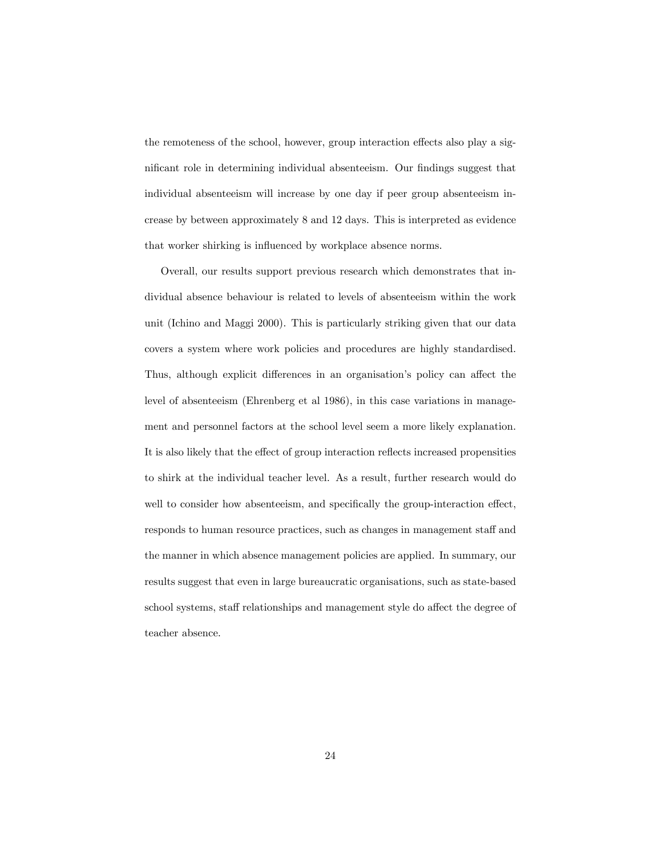the remoteness of the school, however, group interaction effects also play a significant role in determining individual absenteeism. Our findings suggest that individual absenteeism will increase by one day if peer group absenteeism increase by between approximately 8 and 12 days. This is interpreted as evidence that worker shirking is influenced by workplace absence norms.

Overall, our results support previous research which demonstrates that individual absence behaviour is related to levels of absenteeism within the work unit (Ichino and Maggi 2000). This is particularly striking given that our data covers a system where work policies and procedures are highly standardised. Thus, although explicit differences in an organisation's policy can affect the level of absenteeism (Ehrenberg et al 1986), in this case variations in management and personnel factors at the school level seem a more likely explanation. It is also likely that the effect of group interaction reflects increased propensities to shirk at the individual teacher level. As a result, further research would do well to consider how absenteeism, and specifically the group-interaction effect, responds to human resource practices, such as changes in management staff and the manner in which absence management policies are applied. In summary, our results suggest that even in large bureaucratic organisations, such as state-based school systems, staff relationships and management style do affect the degree of teacher absence.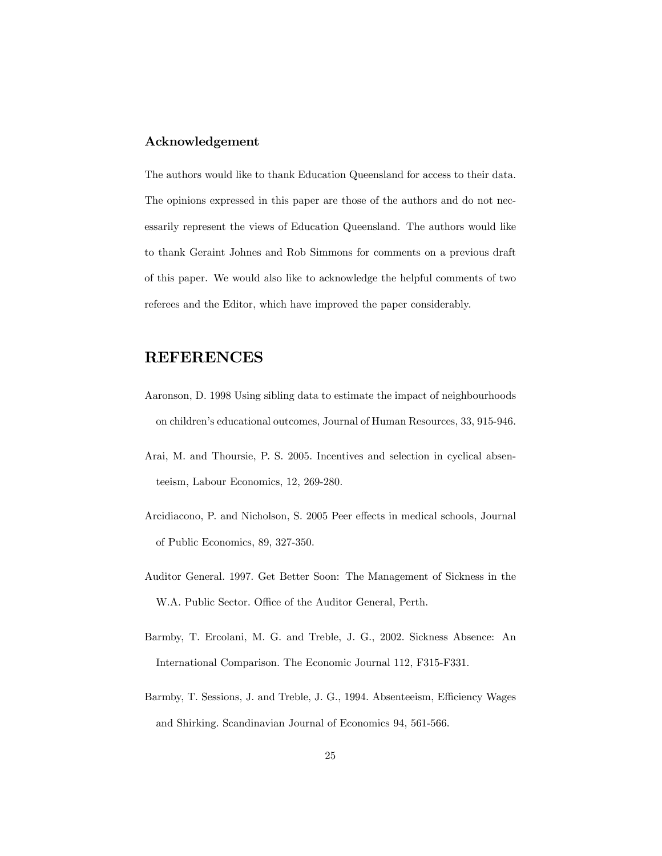### Acknowledgement

The authors would like to thank Education Queensland for access to their data. The opinions expressed in this paper are those of the authors and do not necessarily represent the views of Education Queensland. The authors would like to thank Geraint Johnes and Rob Simmons for comments on a previous draft of this paper. We would also like to acknowledge the helpful comments of two referees and the Editor, which have improved the paper considerably.

## REFERENCES

- Aaronson, D. 1998 Using sibling data to estimate the impact of neighbourhoods on childrenís educational outcomes, Journal of Human Resources, 33, 915-946.
- Arai, M. and Thoursie, P. S. 2005. Incentives and selection in cyclical absenteeism, Labour Economics, 12, 269-280.
- Arcidiacono, P. and Nicholson, S. 2005 Peer effects in medical schools, Journal of Public Economics, 89, 327-350.
- Auditor General. 1997. Get Better Soon: The Management of Sickness in the W.A. Public Sector. Office of the Auditor General, Perth.
- Barmby, T. Ercolani, M. G. and Treble, J. G., 2002. Sickness Absence: An International Comparison. The Economic Journal 112, F315-F331.
- Barmby, T. Sessions, J. and Treble, J. G., 1994. Absenteeism, Efficiency Wages and Shirking. Scandinavian Journal of Economics 94, 561-566.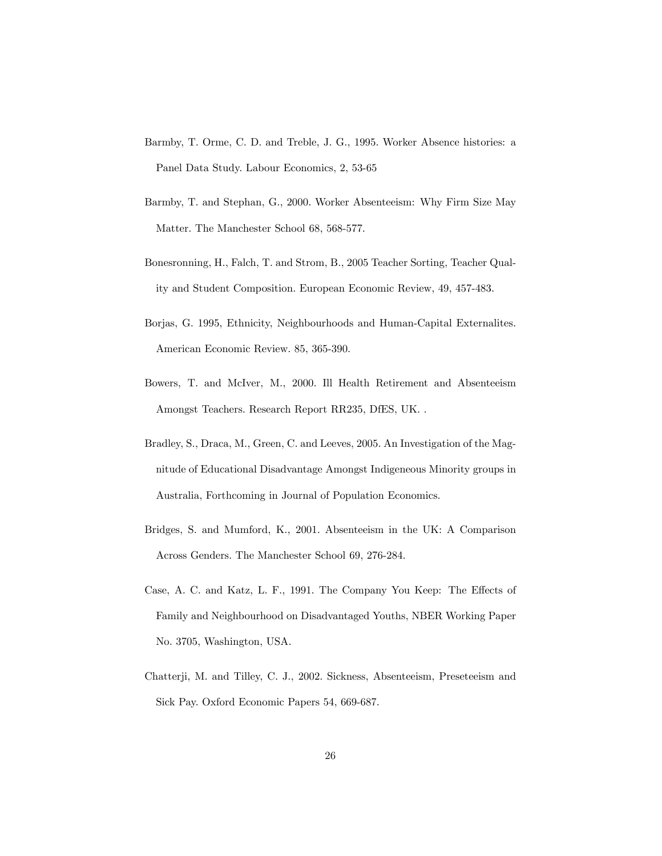- Barmby, T. Orme, C. D. and Treble, J. G., 1995. Worker Absence histories: a Panel Data Study. Labour Economics, 2, 53-65
- Barmby, T. and Stephan, G., 2000. Worker Absenteeism: Why Firm Size May Matter. The Manchester School 68, 568-577.
- Bonesronning, H., Falch, T. and Strom, B., 2005 Teacher Sorting, Teacher Quality and Student Composition. European Economic Review, 49, 457-483.
- Borjas, G. 1995, Ethnicity, Neighbourhoods and Human-Capital Externalites. American Economic Review. 85, 365-390.
- Bowers, T. and McIver, M., 2000. Ill Health Retirement and Absenteeism Amongst Teachers. Research Report RR235, DfES, UK. .
- Bradley, S., Draca, M., Green, C. and Leeves, 2005. An Investigation of the Magnitude of Educational Disadvantage Amongst Indigeneous Minority groups in Australia, Forthcoming in Journal of Population Economics.
- Bridges, S. and Mumford, K., 2001. Absenteeism in the UK: A Comparison Across Genders. The Manchester School 69, 276-284.
- Case, A. C. and Katz, L. F., 1991. The Company You Keep: The Effects of Family and Neighbourhood on Disadvantaged Youths, NBER Working Paper No. 3705, Washington, USA.
- Chatterji, M. and Tilley, C. J., 2002. Sickness, Absenteeism, Preseteeism and Sick Pay. Oxford Economic Papers 54, 669-687.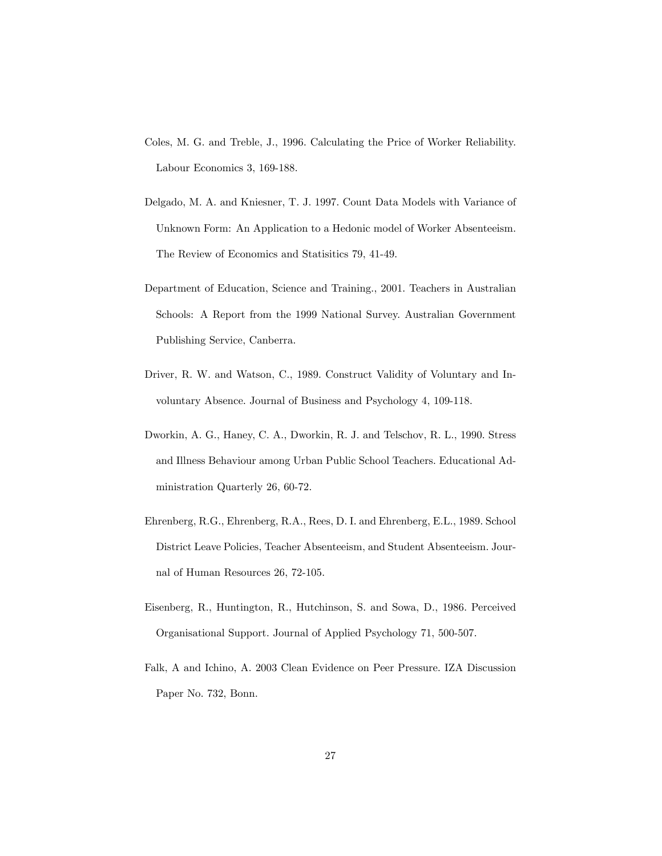- Coles, M. G. and Treble, J., 1996. Calculating the Price of Worker Reliability. Labour Economics 3, 169-188.
- Delgado, M. A. and Kniesner, T. J. 1997. Count Data Models with Variance of Unknown Form: An Application to a Hedonic model of Worker Absenteeism. The Review of Economics and Statisitics 79, 41-49.
- Department of Education, Science and Training., 2001. Teachers in Australian Schools: A Report from the 1999 National Survey. Australian Government Publishing Service, Canberra.
- Driver, R. W. and Watson, C., 1989. Construct Validity of Voluntary and Involuntary Absence. Journal of Business and Psychology 4, 109-118.
- Dworkin, A. G., Haney, C. A., Dworkin, R. J. and Telschov, R. L., 1990. Stress and Illness Behaviour among Urban Public School Teachers. Educational Administration Quarterly 26, 60-72.
- Ehrenberg, R.G., Ehrenberg, R.A., Rees, D. I. and Ehrenberg, E.L., 1989. School District Leave Policies, Teacher Absenteeism, and Student Absenteeism. Journal of Human Resources 26, 72-105.
- Eisenberg, R., Huntington, R., Hutchinson, S. and Sowa, D., 1986. Perceived Organisational Support. Journal of Applied Psychology 71, 500-507.
- Falk, A and Ichino, A. 2003 Clean Evidence on Peer Pressure. IZA Discussion Paper No. 732, Bonn.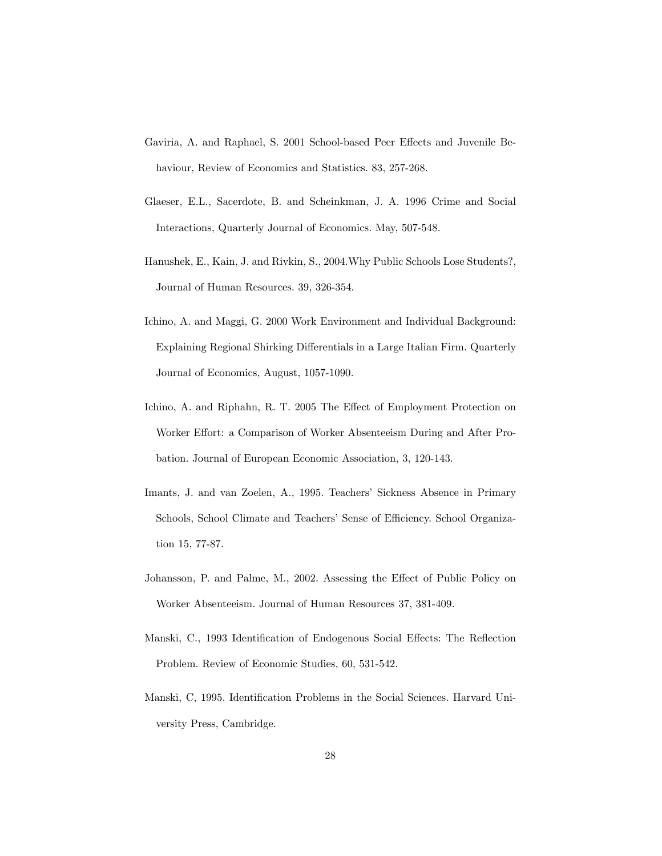- Gaviria, A. and Raphael, S. 2001 School-based Peer Effects and Juvenile Behaviour, Review of Economics and Statistics. 83, 257-268.
- Glaeser, E.L., Sacerdote, B. and Scheinkman, J. A. 1996 Crime and Social Interactions, Quarterly Journal of Economics. May, 507-548.
- Hanushek, E., Kain, J. and Rivkin, S., 2004.Why Public Schools Lose Students?, Journal of Human Resources. 39, 326-354.
- Ichino, A. and Maggi, G. 2000 Work Environment and Individual Background: Explaining Regional Shirking Differentials in a Large Italian Firm. Quarterly Journal of Economics, August, 1057-1090.
- Ichino, A. and Riphahn, R. T. 2005 The Effect of Employment Protection on Worker Effort: a Comparison of Worker Absenteeism During and After Probation. Journal of European Economic Association, 3, 120-143.
- Imants, J. and van Zoelen, A., 1995. Teachers' Sickness Absence in Primary Schools, School Climate and Teachers' Sense of Efficiency. School Organization 15, 77-87.
- Johansson, P. and Palme, M., 2002. Assessing the Effect of Public Policy on Worker Absenteeism. Journal of Human Resources 37, 381-409.
- Manski, C., 1993 Identification of Endogenous Social Effects: The Reflection Problem. Review of Economic Studies, 60, 531-542.
- Manski, C, 1995. Identification Problems in the Social Sciences. Harvard University Press, Cambridge.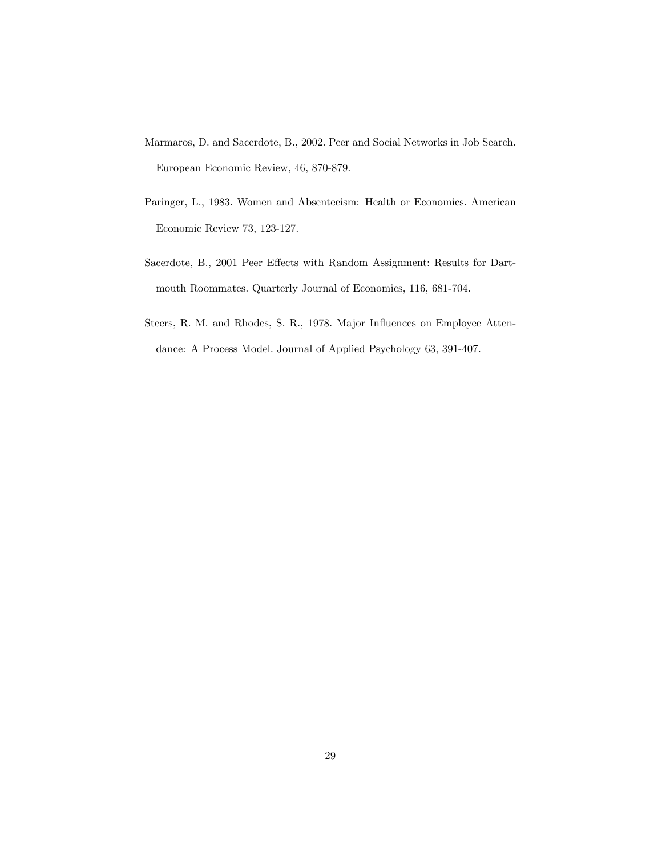- Marmaros, D. and Sacerdote, B., 2002. Peer and Social Networks in Job Search. European Economic Review, 46, 870-879.
- Paringer, L., 1983. Women and Absenteeism: Health or Economics. American Economic Review 73, 123-127.
- Sacerdote, B., 2001 Peer Effects with Random Assignment: Results for Dartmouth Roommates. Quarterly Journal of Economics, 116, 681-704.
- Steers, R. M. and Rhodes, S. R., 1978. Major Influences on Employee Attendance: A Process Model. Journal of Applied Psychology 63, 391-407.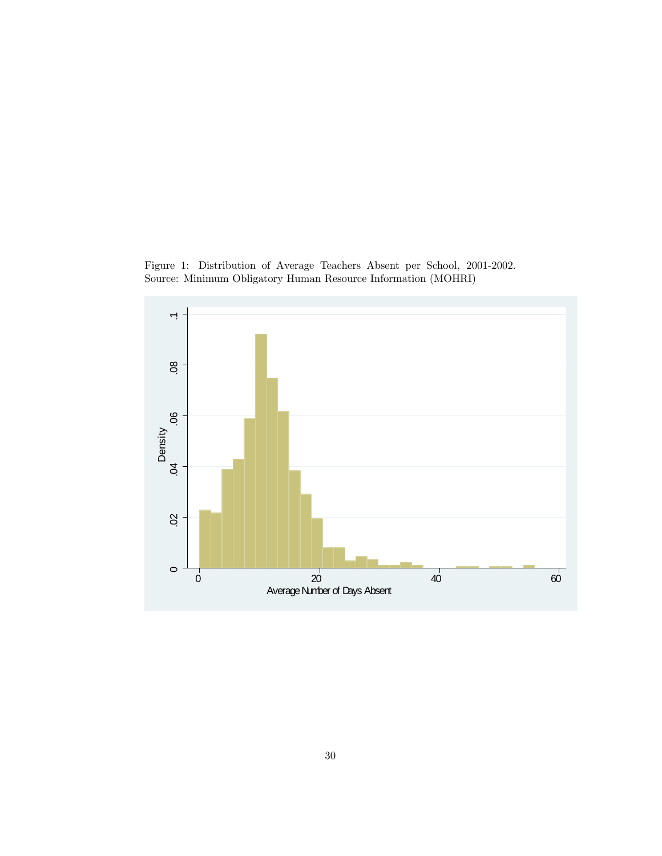Figure 1: Distribution of Average Teachers Absent per School, 2001-2002. Source: Minimum Obligatory Human Resource Information (MOHRI)

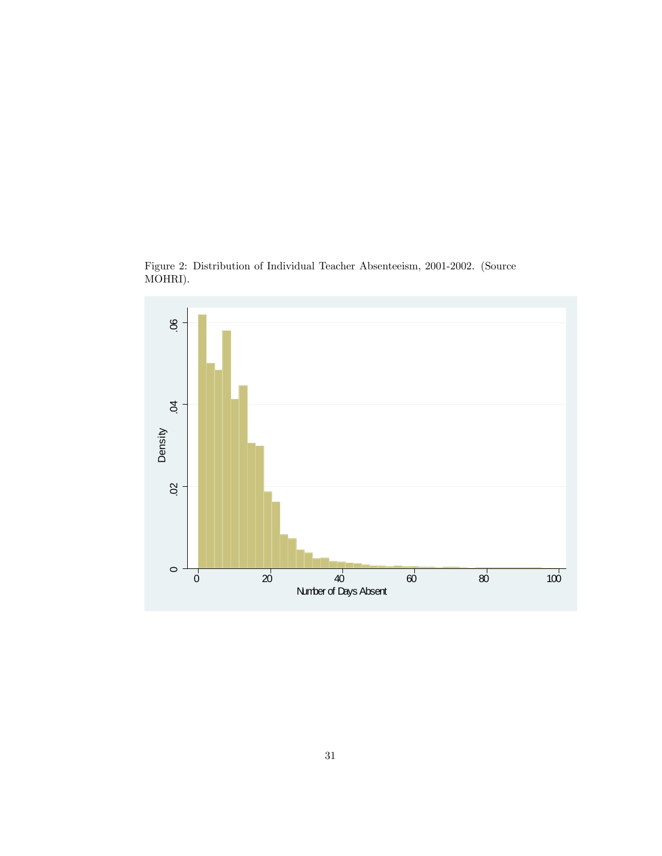

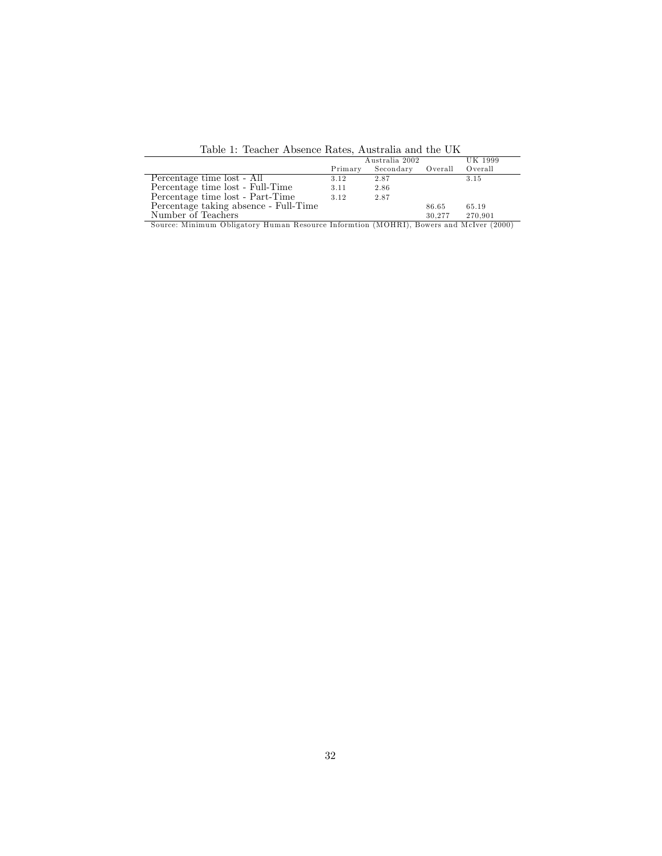Table 1: Teacher Absence Rates, Australia and the UK

|                                                                                        | Australia 2002 |                   |         | UK 1999 |
|----------------------------------------------------------------------------------------|----------------|-------------------|---------|---------|
|                                                                                        |                | Primary Secondary | Overall | Overall |
| Percentage time lost - All                                                             | 3.12           | 2.87              |         | 3.15    |
| Percentage time lost - Full-Time                                                       | 3.11           | 2.86              |         |         |
| Percentage time lost - Part-Time                                                       | 3.12           | 2.87              |         |         |
| Percentage taking absence - Full-Time                                                  |                |                   | 86.65   | 65.19   |
| Number of Teachers                                                                     |                |                   | 30.277  | 270.901 |
| Source: Minimum Obligatory Human Resource Informtion (MOHRI), Bowers and McIver (2000) |                |                   |         |         |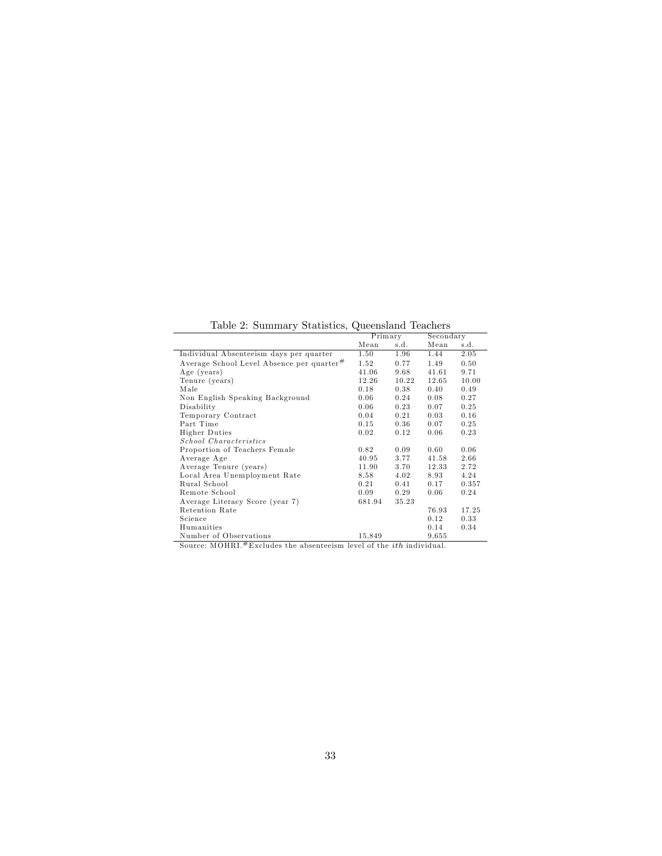Table 2: Summary Statistics, Queensland Teachers

|                                                       | Primary |       |       | Secondary |  |
|-------------------------------------------------------|---------|-------|-------|-----------|--|
|                                                       | Mean    | s.d.  | Mean  | s.d.      |  |
| Individual Absenteeism days per quarter               | 1.50    | 1.96  | 1.44  | 2.05      |  |
| Average School Level Absence per quarter <sup>#</sup> | 1.52    | 0.77  | 1.49  | 0.50      |  |
| Age (years)                                           | 41.06   | 9.68  | 41.61 | 9.71      |  |
| Tenure (years)                                        | 12.26   | 10.22 | 12.65 | 10.00     |  |
| Male                                                  | 0.18    | 0.38  | 0.40  | 0.49      |  |
| Non English Speaking Background                       | 0.06    | 0.24  | 0.08  | 0.27      |  |
| Disability                                            | 0.06    | 0.23  | 0.07  | 0.25      |  |
| Temporary Contract                                    | 0.04    | 0.21  | 0.03  | 0.16      |  |
| Part Time                                             | 0.15    | 0.36  | 0.07  | 0.25      |  |
| <b>Higher Duties</b>                                  | 0.02    | 0.12  | 0.06  | 0.23      |  |
| School Characteristics                                |         |       |       |           |  |
| Proportion of Teachers Female                         | 0.82    | 0.09  | 0.60  | 0.06      |  |
| Average Age                                           | 40.95   | 3.77  | 41.58 | 2.66      |  |
| Average Tenure (years)                                | 11.90   | 3.70  | 12.33 | 2.72      |  |
| Local Area Unemployment Rate                          | 8.58    | 4.02  | 8.93  | 4.24      |  |
| Rural School                                          | 0.21    | 0.41  | 0.17  | 0.357     |  |
| Remote School                                         | 0.09    | 0.29  | 0.06  | 0.24      |  |
| Average Literacy Score (year 7)                       | 681.94  | 35.23 |       |           |  |
| Retention Rate                                        |         |       | 76.93 | 17.25     |  |
| Science                                               |         |       | 0.12  | 0.33      |  |
| Humanities                                            |         |       | 0.14  | 0.34      |  |
| Number of Observations                                | 15,849  |       | 9.655 |           |  |

Source: MOHRI. $E$ Excludes the absenteeism level of the *ith* individual.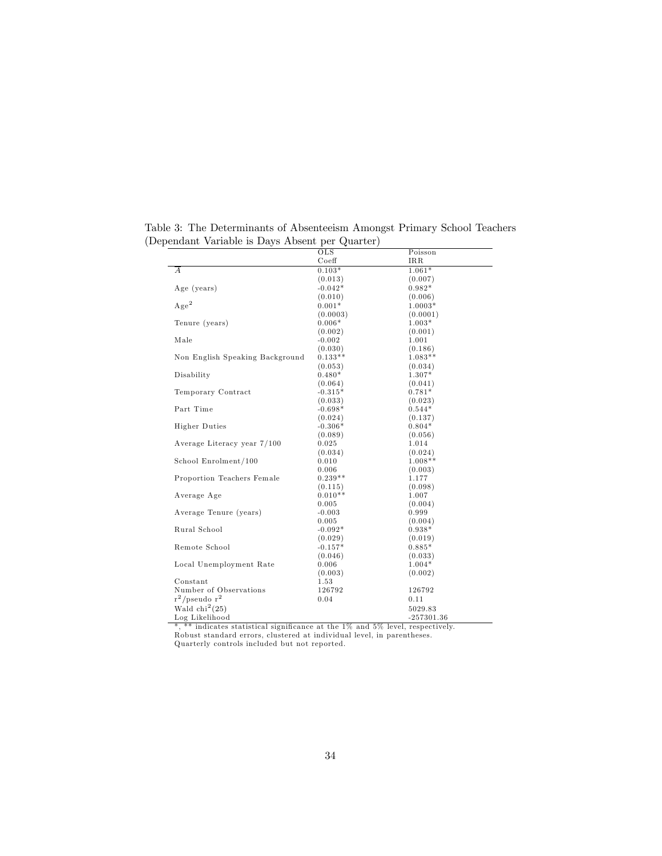|                                                                                  | $_{\rm OLS}$                     | Poisson      |
|----------------------------------------------------------------------------------|----------------------------------|--------------|
|                                                                                  | Coeff                            | IRR          |
| $\boldsymbol{A}$                                                                 | $0.103*$                         | $1.061*$     |
|                                                                                  | (0.013)                          | (0.007)      |
| Age (years)                                                                      | $-0.042*$                        | $0.982*$     |
|                                                                                  | (0.010)                          | (0.006)      |
| $Age^2$                                                                          | $0.001*$                         | $1.0003*$    |
|                                                                                  | (0.0003)                         | (0.0001)     |
| Tenure (years)                                                                   | $0.006*$                         | $1.003*$     |
|                                                                                  | (0.002)                          | (0.001)      |
| Male                                                                             | $-0.002$                         | 1.001        |
|                                                                                  | (0.030)                          | (0.186)      |
| Non English Speaking Background                                                  | $0.133**$                        | $1.083**$    |
|                                                                                  | (0.053)                          | (0.034)      |
| Disability                                                                       | $0.480*$                         | 1.307*       |
|                                                                                  | (0.064)                          | (0.041)      |
| Temporary Contract                                                               | $-0.315*$                        | $0.781*$     |
|                                                                                  | (0.033)                          | (0.023)      |
| Part Time                                                                        | $-0.698*$                        | $0.544*$     |
|                                                                                  | (0.024)                          | (0.137)      |
| <b>Higher Duties</b>                                                             | $-0.306*$                        | $0.804*$     |
|                                                                                  | (0.089)                          | (0.056)      |
| Average Literacy year 7/100                                                      | 0.025                            | 1.014        |
|                                                                                  | (0.034)                          | (0.024)      |
| School Enrolment/100                                                             | 0.010                            | $1.008**$    |
|                                                                                  | 0.006                            | (0.003)      |
| Proportion Teachers Female                                                       | $0.239**$                        | 1.177        |
|                                                                                  | (0.115)                          | (0.098)      |
| Average Age                                                                      | $0.010**$                        | 1.007        |
|                                                                                  | 0.005                            | (0.004)      |
| Average Tenure (years)                                                           | $-0.003$                         | 0.999        |
|                                                                                  | 0.005                            | (0.004)      |
| Rural School                                                                     | $-0.092*$                        | $0.938*$     |
|                                                                                  | (0.029)                          | (0.019)      |
| Remote School                                                                    | $-0.157*$                        | $0.885*$     |
|                                                                                  | (0.046)                          | (0.033)      |
| Local Unemployment Rate                                                          | 0.006                            | $1.004*$     |
|                                                                                  | (0.003)                          | (0.002)      |
| Constant                                                                         | 1.53                             |              |
| Number of Observations                                                           | 126792                           | 126792       |
| $r^2$ /pseudo $r^2$                                                              | 0.04                             | 0.11         |
| Wald $\text{chi}^2(25)$                                                          |                                  | 5029.83      |
| Log Likelihood                                                                   |                                  | -257301.36   |
| $*$ $**$ in light on other intimals<br>$\sim$ $\sim$ $\sim$ $\sim$ $\sim$ $\sim$ | 107<br>$-4.41$<br>E <sub>0</sub> | والمعتلف مسم |

Table 3: The Determinants of Absenteeism Amongst Primary School Teachers (Dependant Variable is Days Absent per Quarter)

\*, \*\* indicates statistical significance at the 1% and 5% level, respectively.<br>Robust standard errors, clustered at individual level, in parentheses.<br>Quarterly controls included but not reported.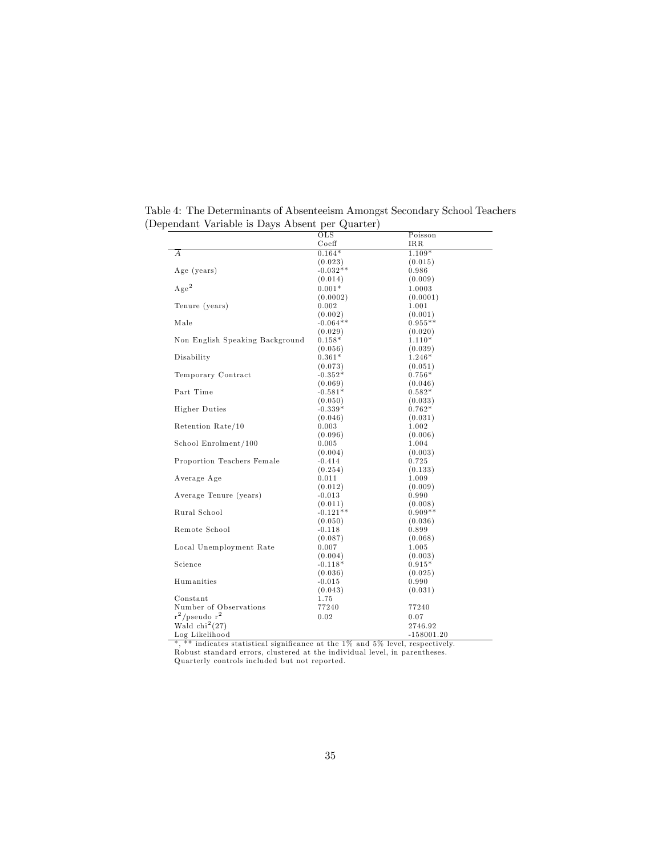| Table 4: The Determinants of Absenteeism Amongst Secondary School Teachers |  |
|----------------------------------------------------------------------------|--|
| (Dependant Variable is Days Absent per Quarter)                            |  |

|                                 | OLS                   | Poisson              |
|---------------------------------|-----------------------|----------------------|
|                                 | Coeff                 | IRR                  |
| А                               | $0.164*$              | $1.109*$             |
|                                 | (0.023)               | (0.015)              |
| Age (years)                     | $-0.032**$            | 0.986                |
|                                 | (0.014)               | (0.009)              |
| $Age^2$                         | $0.001*$              | 1.0003               |
|                                 | (0.0002)              | (0.0001)             |
| Tenure (years)                  | 0.002                 | 1.001                |
|                                 | (0.002)               | (0.001)              |
| Male                            | $-0.064**$            | $0.955**$            |
|                                 | (0.029)               | (0.020)              |
| Non English Speaking Background | $0.158*$              | $1.110*$             |
|                                 | (0.056)               | (0.039)              |
| Disability                      | $0.361*$              | $1.246*$             |
|                                 | (0.073)               | (0.051)              |
| Temporary Contract              | $-0.352*$             | $0.756*$             |
|                                 | (0.069)               | (0.046)              |
| Part Time                       | $-0.581*$             | $0.582*$             |
|                                 | (0.050)               | (0.033)              |
| <b>Higher Duties</b>            | $-0.339*$             | $0.762*$             |
|                                 | (0.046)               | (0.031)              |
| Retention Rate/10               | 0.003                 | 1.002                |
|                                 | (0.096)               | (0.006)              |
| School Enrolment/100            | 0.005                 | 1.004                |
|                                 | (0.004)               | (0.003)              |
| Proportion Teachers Female      | $-0.414$              | 0.725                |
|                                 | (0.254)               | (0.133)              |
| Average Age                     | 0.011                 | 1.009                |
|                                 | (0.012)               | (0.009)              |
| Average Tenure (years)          | $-0.013$              | 0.990                |
| Rural School                    | (0.011)<br>$-0.121**$ | (0.008)<br>$0.909**$ |
|                                 |                       |                      |
| Remote School                   | (0.050)<br>$-0.118$   | (0.036)<br>0.899     |
|                                 |                       |                      |
| Local Unemployment Rate         | (0.087)<br>0.007      | (0.068)<br>1.005     |
|                                 | (0.004)               | (0.003)              |
| Science                         | $-0.118*$             | $0.915*$             |
|                                 | (0.036)               | (0.025)              |
| Humanities                      | $-0.015$              | 0.990                |
|                                 | (0.043)               | (0.031)              |
| $Constant$                      | 1.75                  |                      |
| Number of Observations          | 77240                 | 77240                |
| $r^2$ /pseudo r <sup>2</sup>    | 0.02                  | 0.07                 |
| Wald $\text{chi}^2(27)$         |                       | 2746.92              |
| Log Likelihood                  |                       | $-158001.20$         |
|                                 |                       |                      |

\*, \*\* indicates statistical significance at the 1% and 5% level, respectively.<br>Robust standard errors, clustered at the individual level, in parentheses.<br>Quarterly controls included but not reported.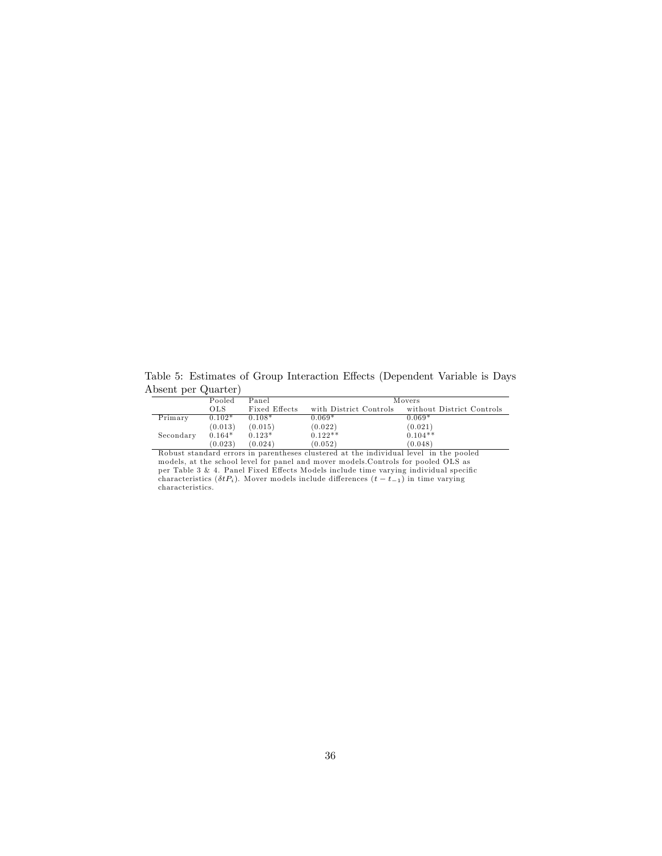Table 5: Estimates of Group Interaction Effects (Dependent Variable is Days Absent per Quarter)

|           | Pooled   | Panel         | Movers                 |                           |  |
|-----------|----------|---------------|------------------------|---------------------------|--|
|           | OLS      | Fixed Effects | with District Controls | without District Controls |  |
| Primary   | $0.102*$ | $0.108*$      | $0.069*$               | $0.069*$                  |  |
|           | (0.013)  | (0.015)       | (0.022)                | (0.021)                   |  |
| Secondary | $0.164*$ | $0.123*$      | $0.122**$              | $0.104**$                 |  |
|           | (0.023)  | (0.024)       | (0.052)                | (0.048)                   |  |

Robust standard errors in parentheses clustered at the individual level in the pooled<br>models, at the school level for panel and mover models.Controls for pooled OLS as<br>per Table 3 & 4. Panel Fixed Effects Models include t characteristics ( $\delta tP_i$ ). Mover models include differences  $(t - t_{-1})$  in time varying characteristics.